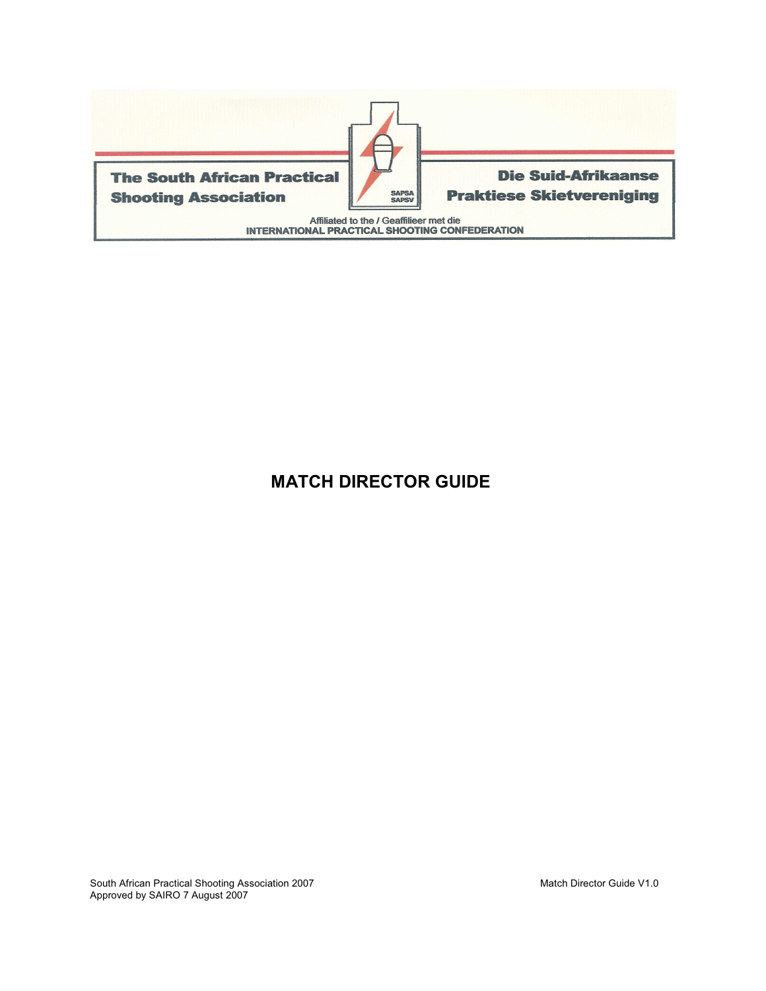

# **MATCH DIRECTOR GUIDE**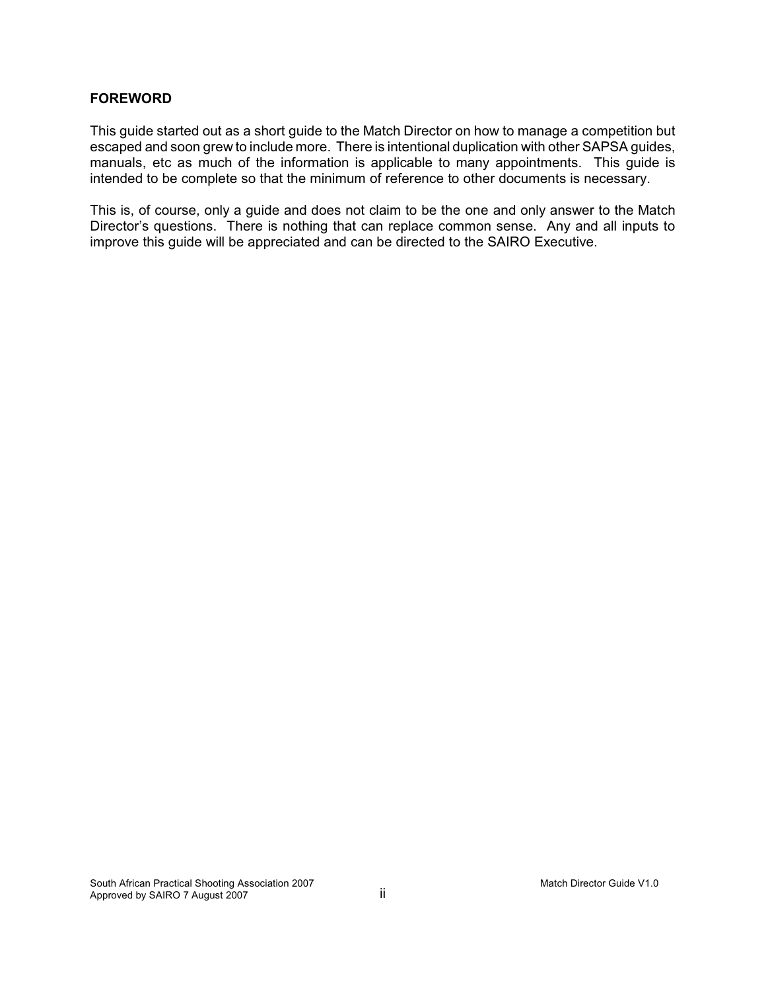### **FOREWORD**

This guide started out as a short guide to the Match Director on how to manage a competition but escaped and soon grew to include more. There is intentional duplication with other SAPSA guides, manuals, etc as much of the information is applicable to many appointments. This guide is intended to be complete so that the minimum of reference to other documents is necessary.

This is, of course, only a guide and does not claim to be the one and only answer to the Match Director's questions. There is nothing that can replace common sense. Any and all inputs to improve this guide will be appreciated and can be directed to the SAIRO Executive.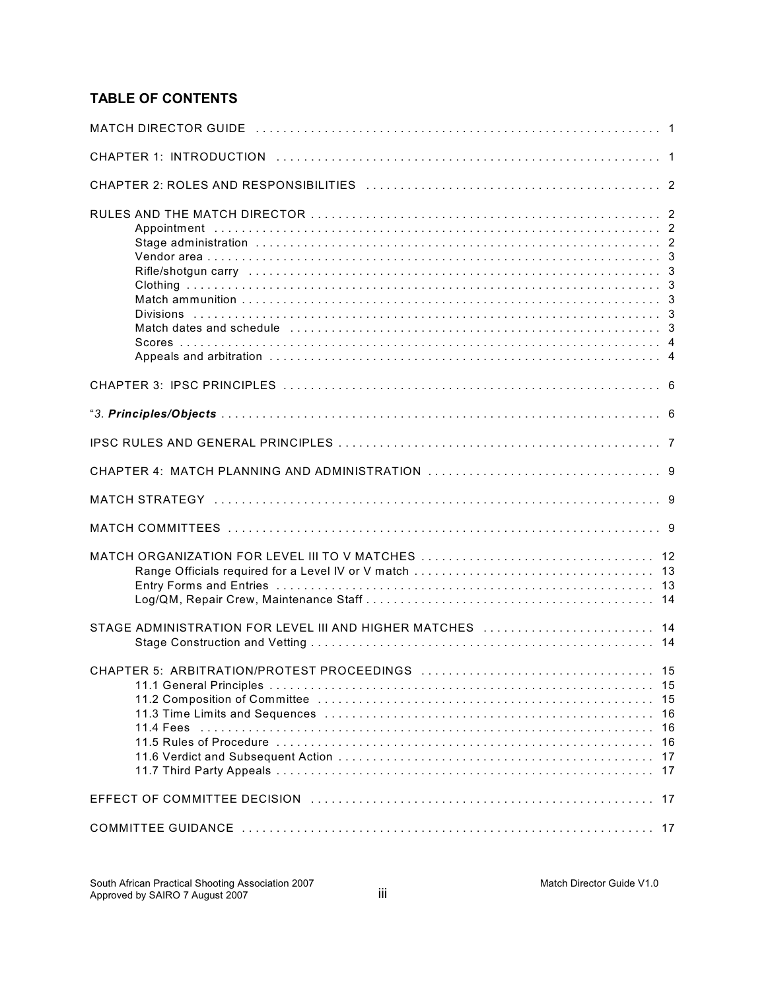# **TABLE OF CONTENTS**

| Match dates and schedule <i>mass in the content of the content of the content of the content of 3</i> |
|-------------------------------------------------------------------------------------------------------|
|                                                                                                       |
|                                                                                                       |
|                                                                                                       |
|                                                                                                       |
|                                                                                                       |
|                                                                                                       |
|                                                                                                       |
| STAGE ADMINISTRATION FOR LEVEL III AND HIGHER MATCHES [1, [1, [1]]  14                                |
| 15<br>15<br>16<br>16<br>16<br>17<br>17                                                                |
|                                                                                                       |
|                                                                                                       |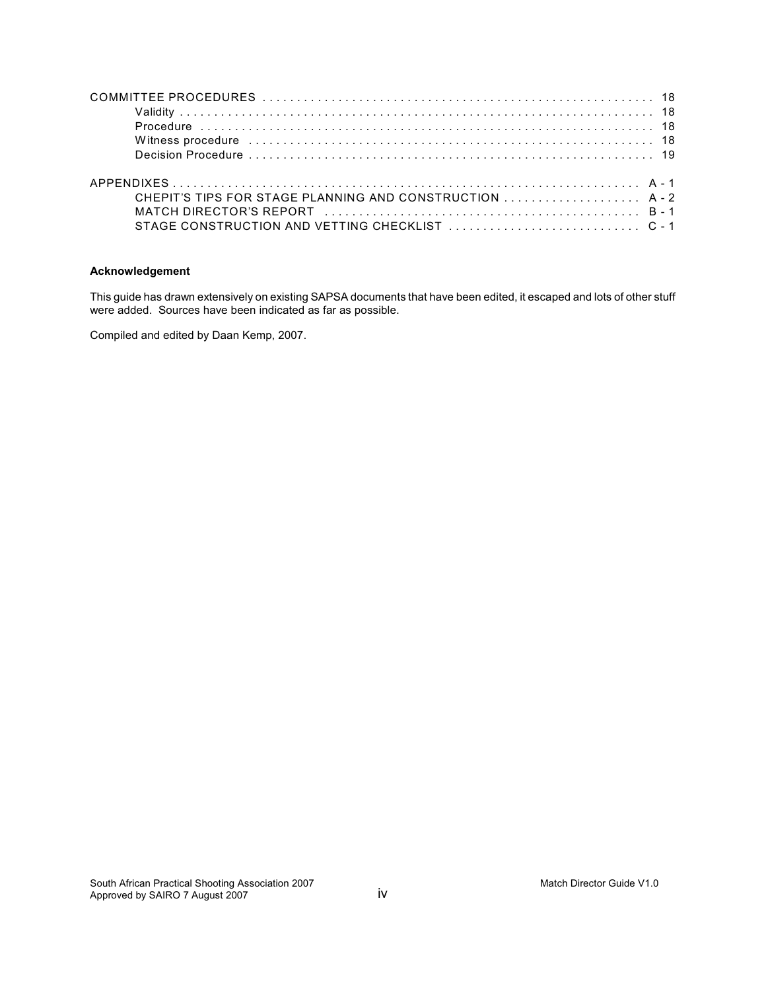| Witness procedure information and the contract of the contract of the contract of the contract of the contract of the contract of the contract of the contract of the contract of the contract of the contract of the contract |  |
|--------------------------------------------------------------------------------------------------------------------------------------------------------------------------------------------------------------------------------|--|
|                                                                                                                                                                                                                                |  |
|                                                                                                                                                                                                                                |  |
| CHEPIT'S TIPS FOR STAGE PLANNING AND CONSTRUCTION  A-2                                                                                                                                                                         |  |
|                                                                                                                                                                                                                                |  |
|                                                                                                                                                                                                                                |  |

#### **Acknowledgement**

This guide has drawn extensively on existing SAPSA documents that have been edited, it escaped and lots of other stuff were added. Sources have been indicated as far as possible.

Compiled and edited by Daan Kemp, 2007.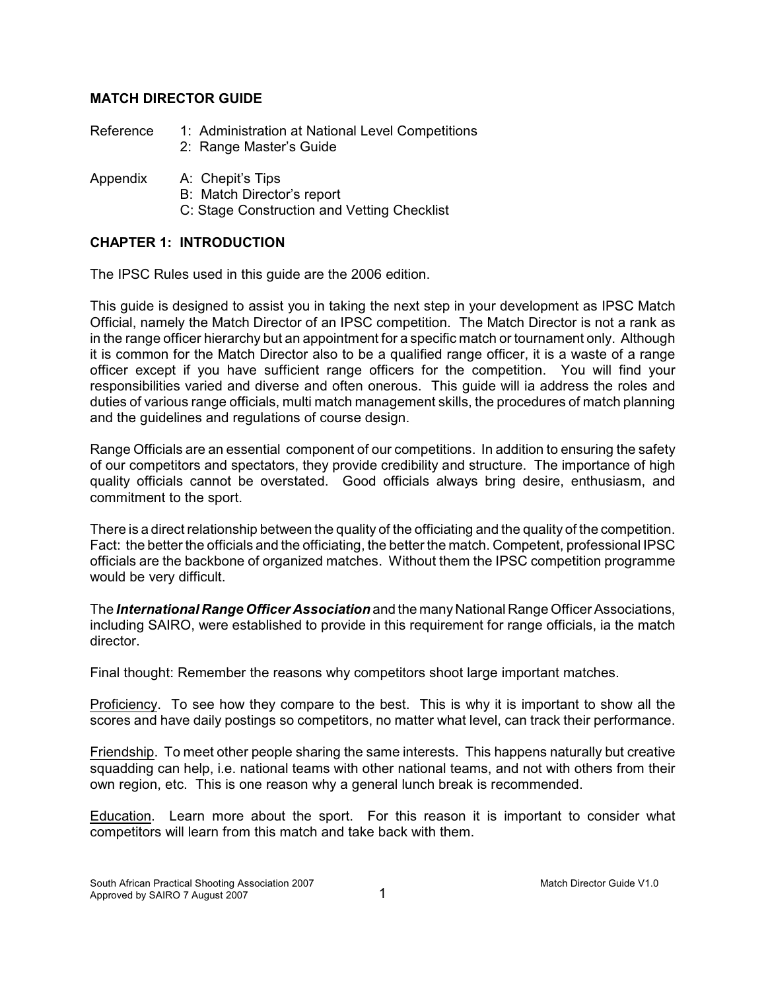# **MATCH DIRECTOR GUIDE**

| Reference | 1: Administration at National Level Competitions |  |
|-----------|--------------------------------------------------|--|
|           | 2: Range Master's Guide                          |  |

- Appendix A: Chepit's Tips
	- B: Match Director's report
	- C: Stage Construction and Vetting Checklist

# **CHAPTER 1: INTRODUCTION**

The IPSC Rules used in this guide are the 2006 edition.

This guide is designed to assist you in taking the next step in your development as IPSC Match Official, namely the Match Director of an IPSC competition. The Match Director is not a rank as in the range officer hierarchy but an appointment for a specific match or tournament only. Although it is common for the Match Director also to be a qualified range officer, it is a waste of a range officer except if you have sufficient range officers for the competition. You will find your responsibilities varied and diverse and often onerous. This guide will ia address the roles and duties of various range officials, multi match management skills, the procedures of match planning and the guidelines and regulations of course design.

Range Officials are an essential component of our competitions. In addition to ensuring the safety of our competitors and spectators, they provide credibility and structure. The importance of high quality officials cannot be overstated. Good officials always bring desire, enthusiasm, and commitment to the sport.

There is a direct relationship between the quality of the officiating and the quality of the competition. Fact: the better the officials and the officiating, the better the match. Competent, professional IPSC officials are the backbone of organized matches. Without them the IPSC competition programme would be very difficult.

The *International Range Officer Association* and the many National Range Officer Associations, including SAIRO, were established to provide in this requirement for range officials, ia the match director.

Final thought: Remember the reasons why competitors shoot large important matches.

Proficiency. To see how they compare to the best. This is why it is important to show all the scores and have daily postings so competitors, no matter what level, can track their performance.

Friendship. To meet other people sharing the same interests. This happens naturally but creative squadding can help, i.e. national teams with other national teams, and not with others from their own region, etc. This is one reason why a general lunch break is recommended.

Education. Learn more about the sport. For this reason it is important to consider what competitors will learn from this match and take back with them.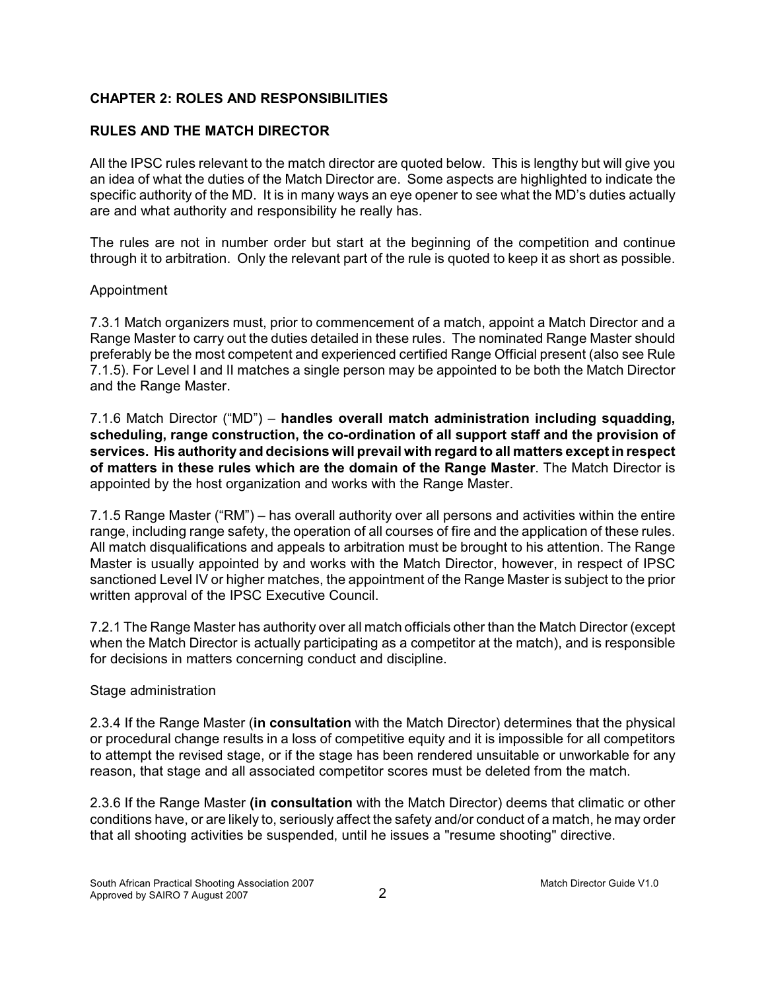# **CHAPTER 2: ROLES AND RESPONSIBILITIES**

# **RULES AND THE MATCH DIRECTOR**

All the IPSC rules relevant to the match director are quoted below. This is lengthy but will give you an idea of what the duties of the Match Director are. Some aspects are highlighted to indicate the specific authority of the MD. It is in many ways an eye opener to see what the MD's duties actually are and what authority and responsibility he really has.

The rules are not in number order but start at the beginning of the competition and continue through it to arbitration. Only the relevant part of the rule is quoted to keep it as short as possible.

### Appointment

7.3.1 Match organizers must, prior to commencement of a match, appoint a Match Director and a Range Master to carry out the duties detailed in these rules. The nominated Range Master should preferably be the most competent and experienced certified Range Official present (also see Rule 7.1.5). For Level I and II matches a single person may be appointed to be both the Match Director and the Range Master.

7.1.6 Match Director ("MD") – **handles overall match administration including squadding, scheduling, range construction, the co-ordination of all support staff and the provision of services. His authority and decisions will prevail with regard to all matters except in respect of matters in these rules which are the domain of the Range Master**. The Match Director is appointed by the host organization and works with the Range Master.

7.1.5 Range Master ("RM") – has overall authority over all persons and activities within the entire range, including range safety, the operation of all courses of fire and the application of these rules. All match disqualifications and appeals to arbitration must be brought to his attention. The Range Master is usually appointed by and works with the Match Director, however, in respect of IPSC sanctioned Level IV or higher matches, the appointment of the Range Master is subject to the prior written approval of the IPSC Executive Council.

7.2.1 The Range Master has authority over all match officials other than the Match Director (except when the Match Director is actually participating as a competitor at the match), and is responsible for decisions in matters concerning conduct and discipline.

### Stage administration

2.3.4 If the Range Master (**in consultation** with the Match Director) determines that the physical or procedural change results in a loss of competitive equity and it is impossible for all competitors to attempt the revised stage, or if the stage has been rendered unsuitable or unworkable for any reason, that stage and all associated competitor scores must be deleted from the match.

2.3.6 If the Range Master **(in consultation** with the Match Director) deems that climatic or other conditions have, or are likely to, seriously affect the safety and/or conduct of a match, he may order that all shooting activities be suspended, until he issues a "resume shooting" directive.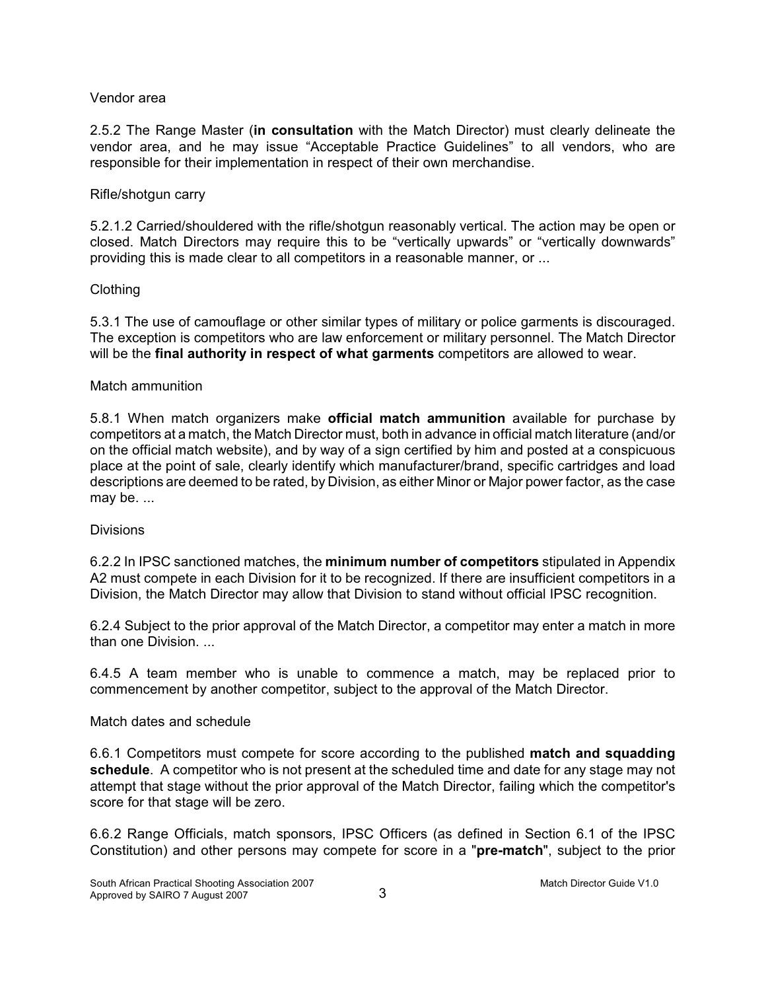### Vendor area

2.5.2 The Range Master (**in consultation** with the Match Director) must clearly delineate the vendor area, and he may issue "Acceptable Practice Guidelines" to all vendors, who are responsible for their implementation in respect of their own merchandise.

### Rifle/shotgun carry

5.2.1.2 Carried/shouldered with the rifle/shotgun reasonably vertical. The action may be open or closed. Match Directors may require this to be "vertically upwards" or "vertically downwards" providing this is made clear to all competitors in a reasonable manner, or ...

### Clothing

5.3.1 The use of camouflage or other similar types of military or police garments is discouraged. The exception is competitors who are law enforcement or military personnel. The Match Director will be the **final authority in respect of what garments** competitors are allowed to wear.

#### Match ammunition

5.8.1 When match organizers make **official match ammunition** available for purchase by competitors at a match, the Match Director must, both in advance in official match literature (and/or on the official match website), and by way of a sign certified by him and posted at a conspicuous place at the point of sale, clearly identify which manufacturer/brand, specific cartridges and load descriptions are deemed to be rated, by Division, as either Minor or Major power factor, as the case may be. ...

### **Divisions**

6.2.2 In IPSC sanctioned matches, the **minimum number of competitors** stipulated in Appendix A2 must compete in each Division for it to be recognized. If there are insufficient competitors in a Division, the Match Director may allow that Division to stand without official IPSC recognition.

6.2.4 Subject to the prior approval of the Match Director, a competitor may enter a match in more than one Division. ...

6.4.5 A team member who is unable to commence a match, may be replaced prior to commencement by another competitor, subject to the approval of the Match Director.

### Match dates and schedule

6.6.1 Competitors must compete for score according to the published **match and squadding schedule**. A competitor who is not present at the scheduled time and date for any stage may not attempt that stage without the prior approval of the Match Director, failing which the competitor's score for that stage will be zero.

6.6.2 Range Officials, match sponsors, IPSC Officers (as defined in Section 6.1 of the IPSC Constitution) and other persons may compete for score in a "**pre-match**", subject to the prior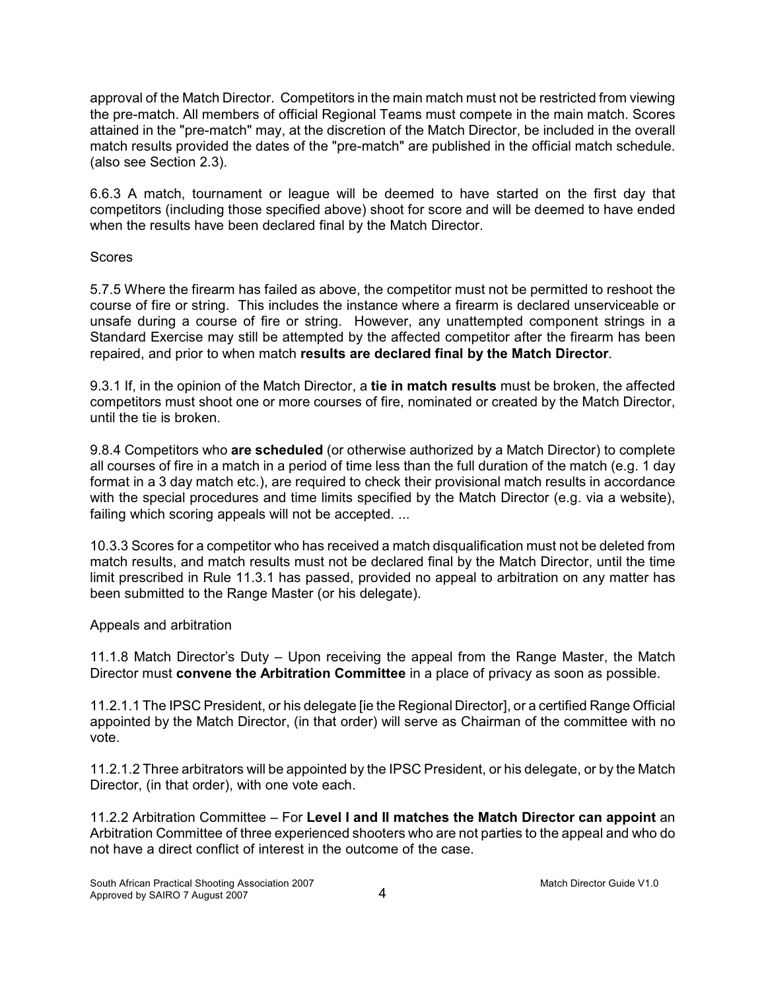approval of the Match Director. Competitors in the main match must not be restricted from viewing the pre-match. All members of official Regional Teams must compete in the main match. Scores attained in the "pre-match" may, at the discretion of the Match Director, be included in the overall match results provided the dates of the "pre-match" are published in the official match schedule. (also see Section 2.3).

6.6.3 A match, tournament or league will be deemed to have started on the first day that competitors (including those specified above) shoot for score and will be deemed to have ended when the results have been declared final by the Match Director.

### Scores

5.7.5 Where the firearm has failed as above, the competitor must not be permitted to reshoot the course of fire or string. This includes the instance where a firearm is declared unserviceable or unsafe during a course of fire or string. However, any unattempted component strings in a Standard Exercise may still be attempted by the affected competitor after the firearm has been repaired, and prior to when match **results are declared final by the Match Director**.

9.3.1 If, in the opinion of the Match Director, a **tie in match results** must be broken, the affected competitors must shoot one or more courses of fire, nominated or created by the Match Director, until the tie is broken.

9.8.4 Competitors who **are scheduled** (or otherwise authorized by a Match Director) to complete all courses of fire in a match in a period of time less than the full duration of the match (e.g. 1 day format in a 3 day match etc.), are required to check their provisional match results in accordance with the special procedures and time limits specified by the Match Director (e.g. via a website), failing which scoring appeals will not be accepted. ...

10.3.3 Scores for a competitor who has received a match disqualification must not be deleted from match results, and match results must not be declared final by the Match Director, until the time limit prescribed in Rule 11.3.1 has passed, provided no appeal to arbitration on any matter has been submitted to the Range Master (or his delegate).

# Appeals and arbitration

11.1.8 Match Director's Duty – Upon receiving the appeal from the Range Master, the Match Director must **convene the Arbitration Committee** in a place of privacy as soon as possible.

11.2.1.1 The IPSC President, or his delegate [ie the Regional Director], or a certified Range Official appointed by the Match Director, (in that order) will serve as Chairman of the committee with no vote.

11.2.1.2 Three arbitrators will be appointed by the IPSC President, or his delegate, or by the Match Director, (in that order), with one vote each.

11.2.2 Arbitration Committee – For **Level I and II matches the Match Director can appoint** an Arbitration Committee of three experienced shooters who are not parties to the appeal and who do not have a direct conflict of interest in the outcome of the case.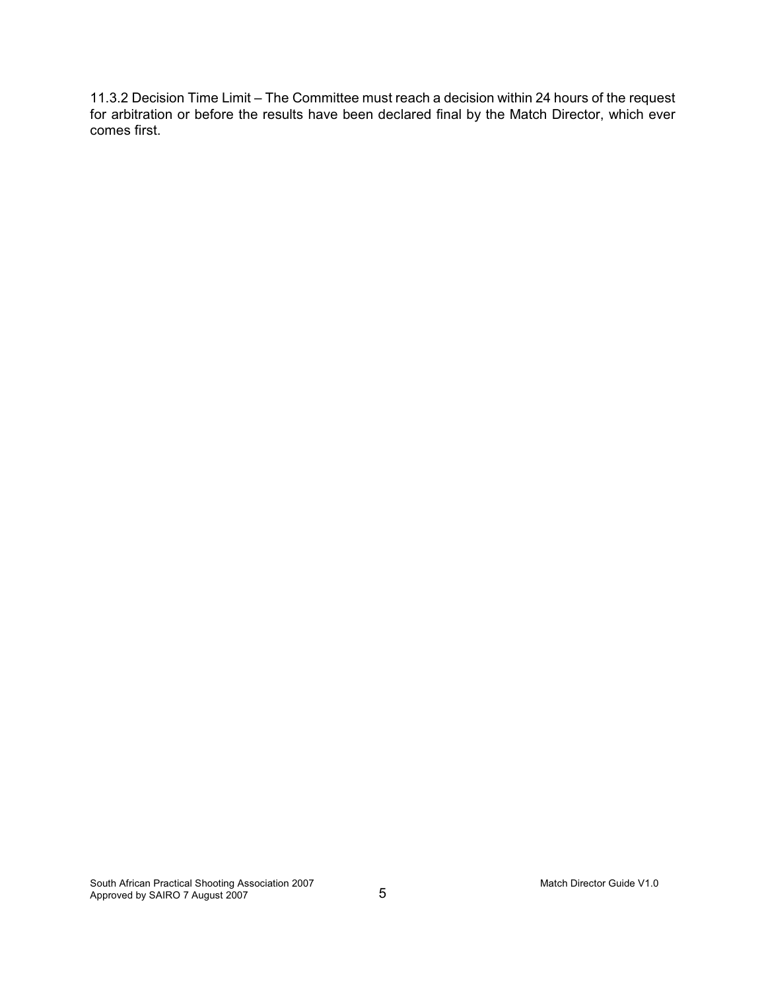11.3.2 Decision Time Limit – The Committee must reach a decision within 24 hours of the request for arbitration or before the results have been declared final by the Match Director, which ever comes first.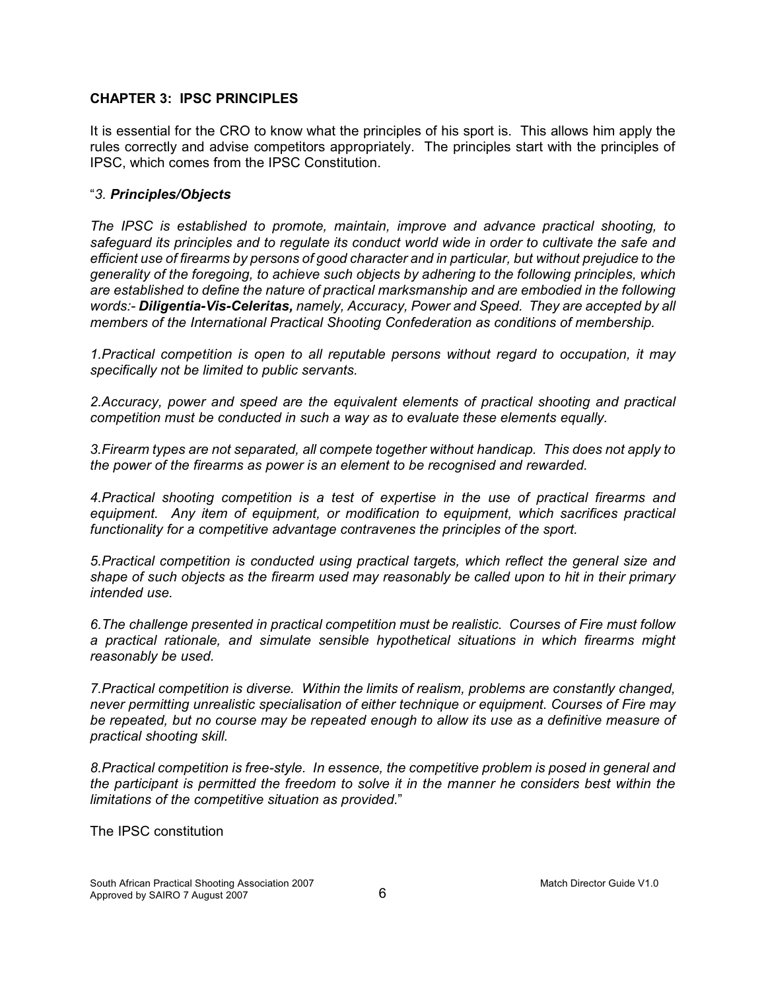### **CHAPTER 3: IPSC PRINCIPLES**

It is essential for the CRO to know what the principles of his sport is. This allows him apply the rules correctly and advise competitors appropriately. The principles start with the principles of IPSC, which comes from the IPSC Constitution.

### "*3. Principles/Objects*

*The IPSC is established to promote, maintain, improve and advance practical shooting, to safeguard its principles and to regulate its conduct world wide in order to cultivate the safe and efficient use of firearms by persons of good character and in particular, but without prejudice to the generality of the foregoing, to achieve such objects by adhering to the following principles, which are established to define the nature of practical marksmanship and are embodied in the following words:- Diligentia-Vis-Celeritas, namely, Accuracy, Power and Speed. They are accepted by all members of the International Practical Shooting Confederation as conditions of membership.*

*1.Practical competition is open to all reputable persons without regard to occupation, it may specifically not be limited to public servants.*

*2.Accuracy, power and speed are the equivalent elements of practical shooting and practical competition must be conducted in such a way as to evaluate these elements equally.*

*3.Firearm types are not separated, all compete together without handicap. This does not apply to the power of the firearms as power is an element to be recognised and rewarded.*

*4.Practical shooting competition is a test of expertise in the use of practical firearms and equipment. Any item of equipment, or modification to equipment, which sacrifices practical functionality for a competitive advantage contravenes the principles of the sport.*

*5.Practical competition is conducted using practical targets, which reflect the general size and shape of such objects as the firearm used may reasonably be called upon to hit in their primary intended use.* 

*6.The challenge presented in practical competition must be realistic. Courses of Fire must follow a practical rationale, and simulate sensible hypothetical situations in which firearms might reasonably be used.*

*7.Practical competition is diverse. Within the limits of realism, problems are constantly changed, never permitting unrealistic specialisation of either technique or equipment. Courses of Fire may be repeated, but no course may be repeated enough to allow its use as a definitive measure of practical shooting skill.*

*8.Practical competition is free-style. In essence, the competitive problem is posed in general and the participant is permitted the freedom to solve it in the manner he considers best within the limitations of the competitive situation as provided.*"

The IPSC constitution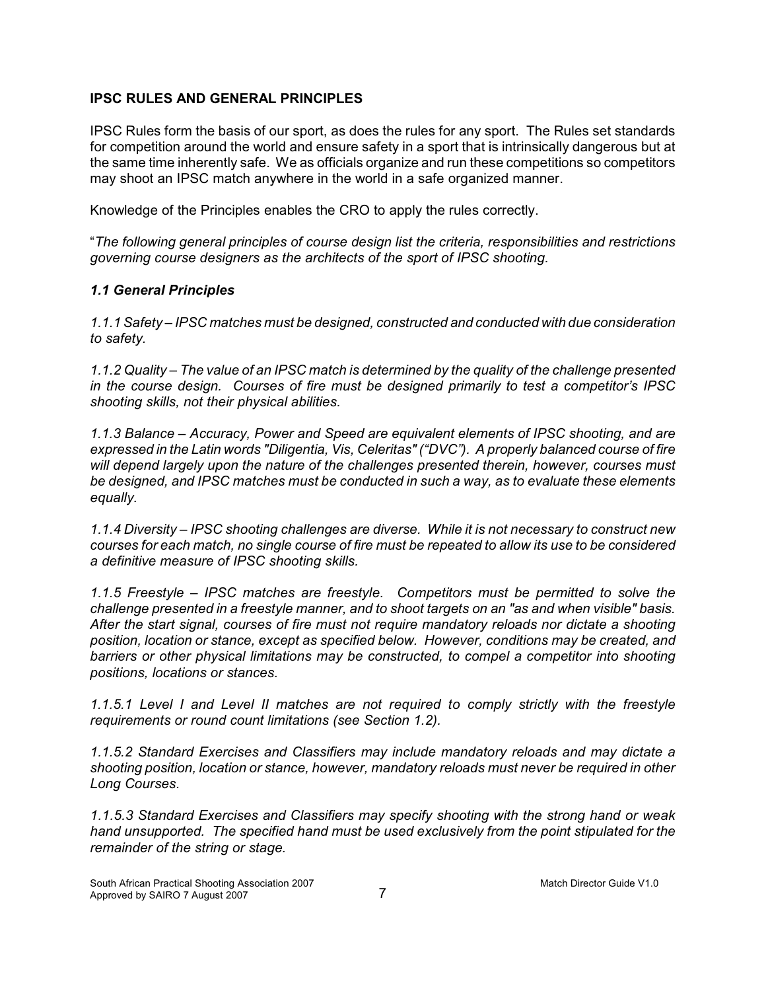### **IPSC RULES AND GENERAL PRINCIPLES**

IPSC Rules form the basis of our sport, as does the rules for any sport. The Rules set standards for competition around the world and ensure safety in a sport that is intrinsically dangerous but at the same time inherently safe. We as officials organize and run these competitions so competitors may shoot an IPSC match anywhere in the world in a safe organized manner.

Knowledge of the Principles enables the CRO to apply the rules correctly.

"*The following general principles of course design list the criteria, responsibilities and restrictions governing course designers as the architects of the sport of IPSC shooting.*

### *1.1 General Principles*

*1.1.1 Safety – IPSC matches must be designed, constructed and conducted with due consideration to safety.*

*1.1.2 Quality – The value of an IPSC match is determined by the quality of the challenge presented in the course design. Courses of fire must be designed primarily to test a competitor's IPSC shooting skills, not their physical abilities.*

*1.1.3 Balance – Accuracy, Power and Speed are equivalent elements of IPSC shooting, and are expressed in the Latin words "Diligentia, Vis, Celeritas" ("DVC"). A properly balanced course of fire will depend largely upon the nature of the challenges presented therein, however, courses must be designed, and IPSC matches must be conducted in such a way, as to evaluate these elements equally.*

*1.1.4 Diversity – IPSC shooting challenges are diverse. While it is not necessary to construct new courses for each match, no single course of fire must be repeated to allow its use to be considered a definitive measure of IPSC shooting skills.*

*1.1.5 Freestyle – IPSC matches are freestyle. Competitors must be permitted to solve the challenge presented in a freestyle manner, and to shoot targets on an "as and when visible" basis. After the start signal, courses of fire must not require mandatory reloads nor dictate a shooting position, location or stance, except as specified below. However, conditions may be created, and barriers or other physical limitations may be constructed, to compel a competitor into shooting positions, locations or stances.*

*1.1.5.1 Level I and Level II matches are not required to comply strictly with the freestyle requirements or round count limitations (see Section 1.2).*

*1.1.5.2 Standard Exercises and Classifiers may include mandatory reloads and may dictate a shooting position, location or stance, however, mandatory reloads must never be required in other Long Courses.*

*1.1.5.3 Standard Exercises and Classifiers may specify shooting with the strong hand or weak hand unsupported. The specified hand must be used exclusively from the point stipulated for the remainder of the string or stage.*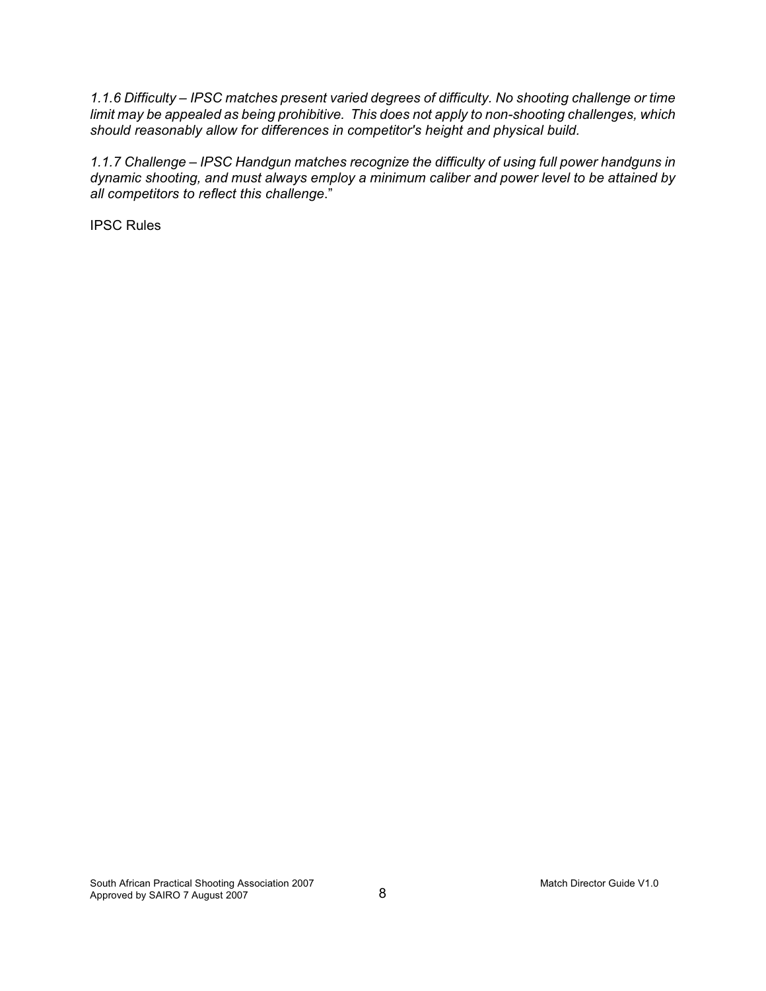*1.1.6 Difficulty – IPSC matches present varied degrees of difficulty. No shooting challenge or time limit may be appealed as being prohibitive. This does not apply to non-shooting challenges, which should reasonably allow for differences in competitor's height and physical build.*

*1.1.7 Challenge – IPSC Handgun matches recognize the difficulty of using full power handguns in dynamic shooting, and must always employ a minimum caliber and power level to be attained by all competitors to reflect this challenge*."

IPSC Rules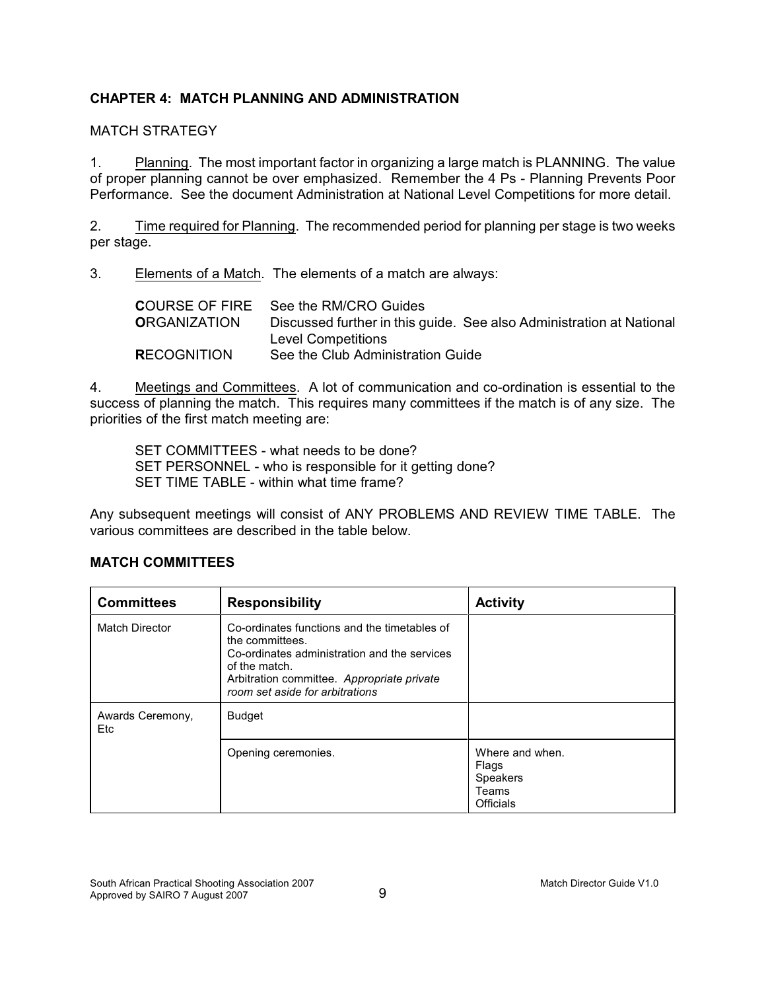# **CHAPTER 4: MATCH PLANNING AND ADMINISTRATION**

# MATCH STRATEGY

1. Planning. The most important factor in organizing a large match is PLANNING. The value of proper planning cannot be over emphasized. Remember the 4 Ps - Planning Prevents Poor Performance. See the document Administration at National Level Competitions for more detail.

2. Time required for Planning. The recommended period for planning per stage is two weeks per stage.

3. Elements of a Match. The elements of a match are always:

|                     | <b>COURSE OF FIRE</b> See the RM/CRO Guides                          |
|---------------------|----------------------------------------------------------------------|
| <b>ORGANIZATION</b> | Discussed further in this guide. See also Administration at National |
|                     | Level Competitions                                                   |
| <b>RECOGNITION</b>  | See the Club Administration Guide                                    |

4. Meetings and Committees. A lot of communication and co-ordination is essential to the success of planning the match. This requires many committees if the match is of any size. The priorities of the first match meeting are:

SET COMMITTEES - what needs to be done? SET PERSONNEL - who is responsible for it getting done? SET TIME TABLE - within what time frame?

Any subsequent meetings will consist of ANY PROBLEMS AND REVIEW TIME TABLE. The various committees are described in the table below.

| <b>Committees</b>              | <b>Responsibility</b>                                                                                                                                                                                             | <b>Activity</b>                                                          |
|--------------------------------|-------------------------------------------------------------------------------------------------------------------------------------------------------------------------------------------------------------------|--------------------------------------------------------------------------|
| <b>Match Director</b>          | Co-ordinates functions and the timetables of<br>the committees.<br>Co-ordinates administration and the services<br>of the match.<br>Arbitration committee. Appropriate private<br>room set aside for arbitrations |                                                                          |
| Awards Ceremony,<br><b>Etc</b> | <b>Budget</b>                                                                                                                                                                                                     |                                                                          |
|                                | Opening ceremonies.                                                                                                                                                                                               | Where and when.<br>Flags<br><b>Speakers</b><br>Teams<br><b>Officials</b> |

# **MATCH COMMITTEES**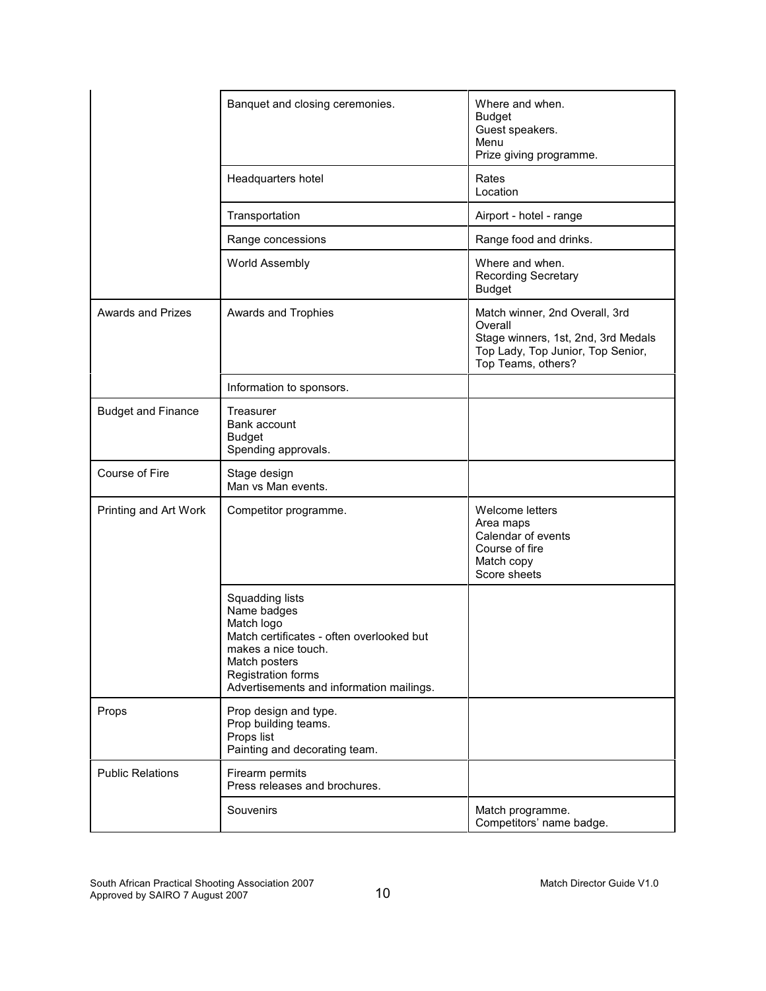|                           | Banquet and closing ceremonies.                                                                                                                                                                     | Where and when.<br><b>Budget</b><br>Guest speakers.<br>Menu<br>Prize giving programme.                                                      |
|---------------------------|-----------------------------------------------------------------------------------------------------------------------------------------------------------------------------------------------------|---------------------------------------------------------------------------------------------------------------------------------------------|
|                           | Headquarters hotel                                                                                                                                                                                  | Rates<br>Location                                                                                                                           |
|                           | Transportation                                                                                                                                                                                      | Airport - hotel - range                                                                                                                     |
|                           | Range concessions                                                                                                                                                                                   | Range food and drinks.                                                                                                                      |
|                           | World Assembly                                                                                                                                                                                      | Where and when.<br><b>Recording Secretary</b><br><b>Budget</b>                                                                              |
| <b>Awards and Prizes</b>  | Awards and Trophies                                                                                                                                                                                 | Match winner, 2nd Overall, 3rd<br>Overall<br>Stage winners, 1st, 2nd, 3rd Medals<br>Top Lady, Top Junior, Top Senior,<br>Top Teams, others? |
|                           | Information to sponsors.                                                                                                                                                                            |                                                                                                                                             |
| <b>Budget and Finance</b> | Treasurer<br>Bank account<br><b>Budget</b><br>Spending approvals.                                                                                                                                   |                                                                                                                                             |
| Course of Fire            | Stage design<br>Man vs Man events.                                                                                                                                                                  |                                                                                                                                             |
| Printing and Art Work     | Competitor programme.                                                                                                                                                                               | Welcome letters<br>Area maps<br>Calendar of events<br>Course of fire<br>Match copy<br>Score sheets                                          |
|                           | Squadding lists<br>Name badges<br>Match logo<br>Match certificates - often overlooked but<br>makes a nice touch.<br>Match posters<br>Registration forms<br>Advertisements and information mailings. |                                                                                                                                             |
| Props                     | Prop design and type.<br>Prop building teams.<br>Props list<br>Painting and decorating team.                                                                                                        |                                                                                                                                             |
| <b>Public Relations</b>   | Firearm permits<br>Press releases and brochures.                                                                                                                                                    |                                                                                                                                             |
|                           | Souvenirs                                                                                                                                                                                           | Match programme.<br>Competitors' name badge.                                                                                                |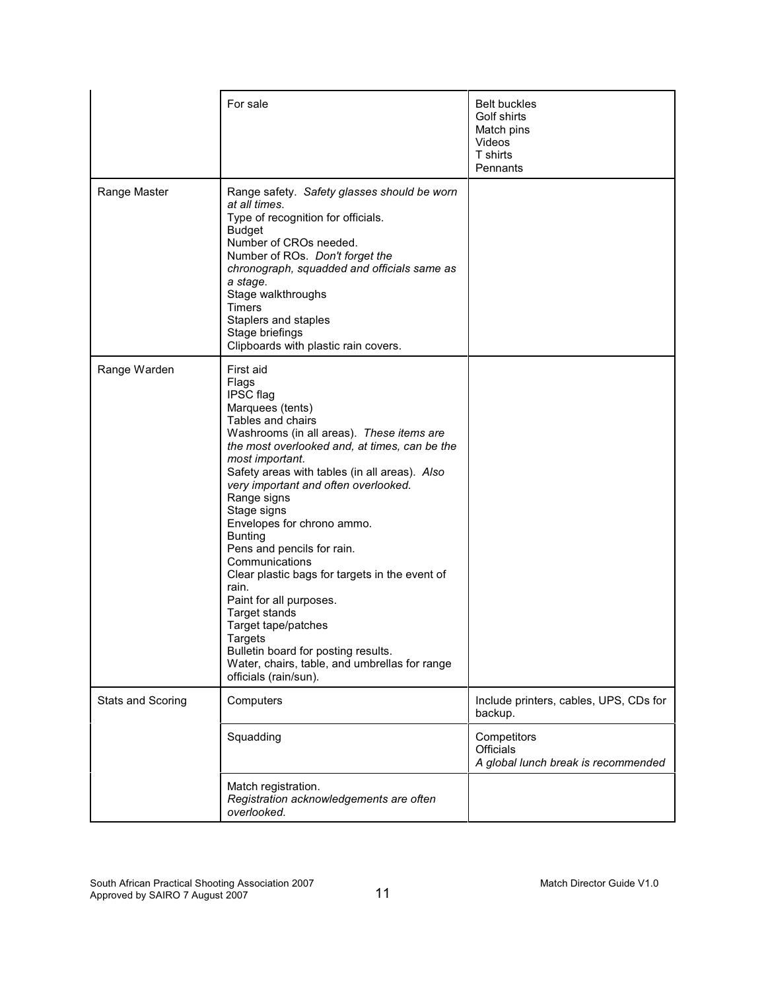|                   | For sale                                                                                                                                                                                                                                                                                                                                                                                                                                                                                                                                                                                                                                                                   | <b>Belt buckles</b><br>Golf shirts<br>Match pins<br>Videos<br>T shirts<br>Pennants |
|-------------------|----------------------------------------------------------------------------------------------------------------------------------------------------------------------------------------------------------------------------------------------------------------------------------------------------------------------------------------------------------------------------------------------------------------------------------------------------------------------------------------------------------------------------------------------------------------------------------------------------------------------------------------------------------------------------|------------------------------------------------------------------------------------|
| Range Master      | Range safety. Safety glasses should be worn<br>at all times.<br>Type of recognition for officials.<br><b>Budget</b><br>Number of CROs needed.<br>Number of ROs. Don't forget the<br>chronograph, squadded and officials same as<br>a stage.<br>Stage walkthroughs<br>Timers<br>Staplers and staples<br>Stage briefings<br>Clipboards with plastic rain covers.                                                                                                                                                                                                                                                                                                             |                                                                                    |
| Range Warden      | First aid<br>Flags<br>IPSC flag<br>Marquees (tents)<br>Tables and chairs<br>Washrooms (in all areas). These items are<br>the most overlooked and, at times, can be the<br>most important.<br>Safety areas with tables (in all areas). Also<br>very important and often overlooked.<br>Range signs<br>Stage signs<br>Envelopes for chrono ammo.<br><b>Bunting</b><br>Pens and pencils for rain.<br>Communications<br>Clear plastic bags for targets in the event of<br>rain.<br>Paint for all purposes.<br>Target stands<br>Target tape/patches<br>Targets<br>Bulletin board for posting results.<br>Water, chairs, table, and umbrellas for range<br>officials (rain/sun). |                                                                                    |
| Stats and Scoring | Computers                                                                                                                                                                                                                                                                                                                                                                                                                                                                                                                                                                                                                                                                  | Include printers, cables, UPS, CDs for<br>backup.                                  |
|                   | Squadding                                                                                                                                                                                                                                                                                                                                                                                                                                                                                                                                                                                                                                                                  | Competitors<br><b>Officials</b><br>A global lunch break is recommended             |
|                   | Match registration.<br>Registration acknowledgements are often<br>overlooked.                                                                                                                                                                                                                                                                                                                                                                                                                                                                                                                                                                                              |                                                                                    |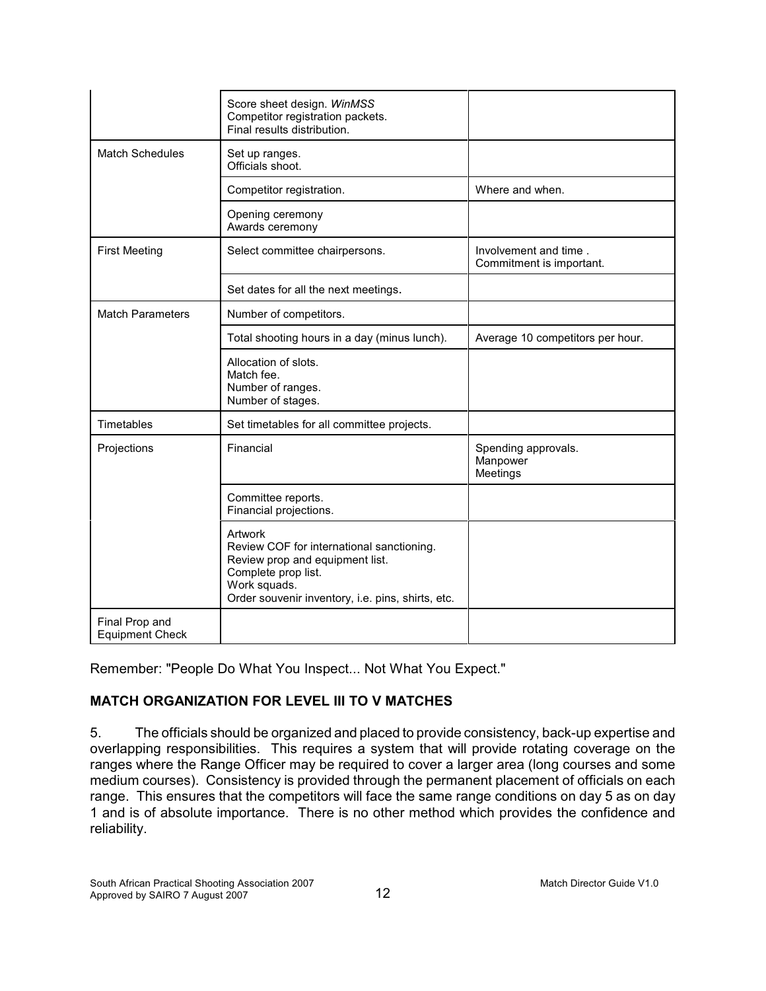|                                          | Score sheet design. WinMSS<br>Competitor registration packets.<br>Final results distribution.                                                                                       |                                                   |
|------------------------------------------|-------------------------------------------------------------------------------------------------------------------------------------------------------------------------------------|---------------------------------------------------|
| <b>Match Schedules</b>                   | Set up ranges.<br>Officials shoot.                                                                                                                                                  |                                                   |
|                                          | Competitor registration.                                                                                                                                                            | Where and when.                                   |
|                                          | Opening ceremony<br>Awards ceremony                                                                                                                                                 |                                                   |
| <b>First Meeting</b>                     | Select committee chairpersons.                                                                                                                                                      | Involvement and time.<br>Commitment is important. |
|                                          | Set dates for all the next meetings.                                                                                                                                                |                                                   |
| <b>Match Parameters</b>                  | Number of competitors.                                                                                                                                                              |                                                   |
|                                          | Total shooting hours in a day (minus lunch).                                                                                                                                        | Average 10 competitors per hour.                  |
|                                          | Allocation of slots.<br>Match fee.<br>Number of ranges.<br>Number of stages.                                                                                                        |                                                   |
| Timetables                               | Set timetables for all committee projects.                                                                                                                                          |                                                   |
| Projections                              | Financial                                                                                                                                                                           | Spending approvals.<br>Manpower<br>Meetings       |
|                                          | Committee reports.<br>Financial projections.                                                                                                                                        |                                                   |
|                                          | Artwork<br>Review COF for international sanctioning.<br>Review prop and equipment list.<br>Complete prop list.<br>Work squads.<br>Order souvenir inventory, i.e. pins, shirts, etc. |                                                   |
| Final Prop and<br><b>Equipment Check</b> |                                                                                                                                                                                     |                                                   |

Remember: "People Do What You Inspect... Not What You Expect."

# **MATCH ORGANIZATION FOR LEVEL III TO V MATCHES**

5. The officials should be organized and placed to provide consistency, back-up expertise and overlapping responsibilities. This requires a system that will provide rotating coverage on the ranges where the Range Officer may be required to cover a larger area (long courses and some medium courses). Consistency is provided through the permanent placement of officials on each range. This ensures that the competitors will face the same range conditions on day 5 as on day 1 and is of absolute importance. There is no other method which provides the confidence and reliability.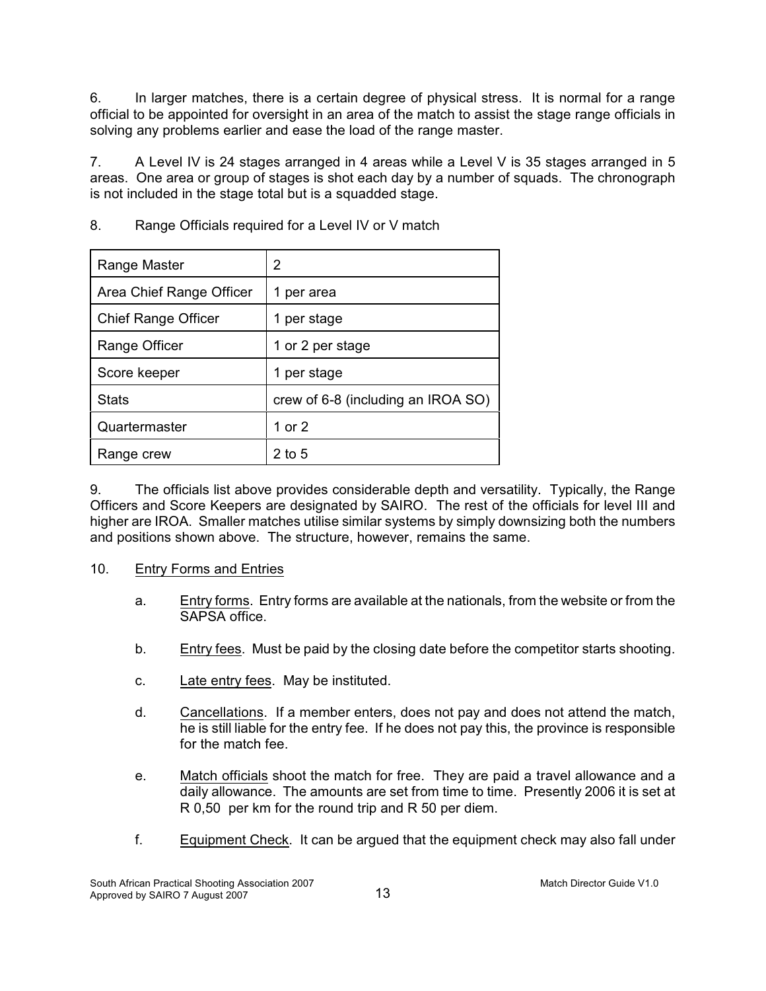6. In larger matches, there is a certain degree of physical stress. It is normal for a range official to be appointed for oversight in an area of the match to assist the stage range officials in solving any problems earlier and ease the load of the range master.

7. A Level IV is 24 stages arranged in 4 areas while a Level V is 35 stages arranged in 5 areas. One area or group of stages is shot each day by a number of squads. The chronograph is not included in the stage total but is a squadded stage.

| Range Master               | 2                                  |
|----------------------------|------------------------------------|
| Area Chief Range Officer   | per area                           |
| <b>Chief Range Officer</b> | per stage<br>1                     |
| Range Officer              | 1 or 2 per stage                   |
| Score keeper               | per stage                          |
| <b>Stats</b>               | crew of 6-8 (including an IROA SO) |
| Quartermaster              | 1 or $2$                           |
| Range crew                 | 2 to 5                             |

8. Range Officials required for a Level IV or V match

9. The officials list above provides considerable depth and versatility. Typically, the Range Officers and Score Keepers are designated by SAIRO. The rest of the officials for level III and higher are IROA. Smaller matches utilise similar systems by simply downsizing both the numbers and positions shown above. The structure, however, remains the same.

# 10. Entry Forms and Entries

- a. Entry forms. Entry forms are available at the nationals, from the website or from the SAPSA office.
- b. Entry fees. Must be paid by the closing date before the competitor starts shooting.
- c. Late entry fees. May be instituted.
- d. Cancellations. If a member enters, does not pay and does not attend the match, he is still liable for the entry fee. If he does not pay this, the province is responsible for the match fee.
- e. Match officials shoot the match for free. They are paid a travel allowance and a daily allowance. The amounts are set from time to time. Presently 2006 it is set at R 0,50 per km for the round trip and R 50 per diem.
- f. Equipment Check. It can be argued that the equipment check may also fall under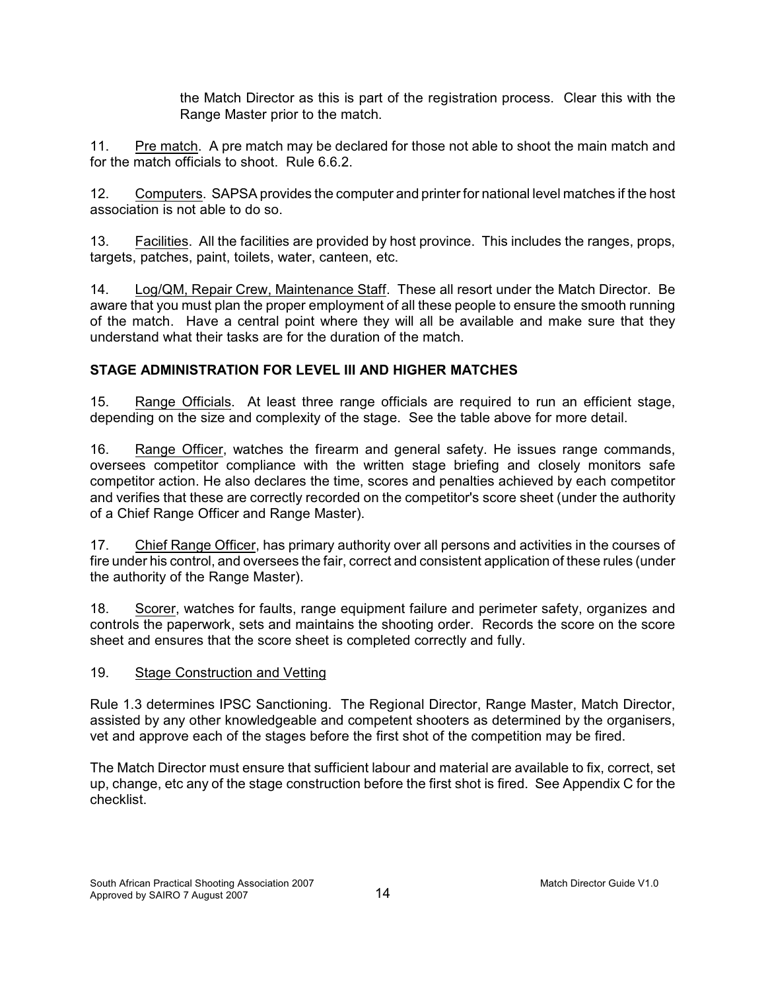the Match Director as this is part of the registration process. Clear this with the Range Master prior to the match.

11. Pre match. A pre match may be declared for those not able to shoot the main match and for the match officials to shoot. Rule 6.6.2.

12. Computers. SAPSA provides the computer and printer for national level matches if the host association is not able to do so.

13. Facilities. All the facilities are provided by host province. This includes the ranges, props, targets, patches, paint, toilets, water, canteen, etc.

14. Log/QM, Repair Crew, Maintenance Staff. These all resort under the Match Director. Be aware that you must plan the proper employment of all these people to ensure the smooth running of the match. Have a central point where they will all be available and make sure that they understand what their tasks are for the duration of the match.

# **STAGE ADMINISTRATION FOR LEVEL III AND HIGHER MATCHES**

15. Range Officials. At least three range officials are required to run an efficient stage, depending on the size and complexity of the stage. See the table above for more detail.

16. Range Officer, watches the firearm and general safety. He issues range commands, oversees competitor compliance with the written stage briefing and closely monitors safe competitor action. He also declares the time, scores and penalties achieved by each competitor and verifies that these are correctly recorded on the competitor's score sheet (under the authority of a Chief Range Officer and Range Master).

17. Chief Range Officer, has primary authority over all persons and activities in the courses of fire under his control, and oversees the fair, correct and consistent application of these rules (under the authority of the Range Master).

18. Scorer, watches for faults, range equipment failure and perimeter safety, organizes and controls the paperwork, sets and maintains the shooting order. Records the score on the score sheet and ensures that the score sheet is completed correctly and fully.

# 19. Stage Construction and Vetting

Rule 1.3 determines IPSC Sanctioning. The Regional Director, Range Master, Match Director, assisted by any other knowledgeable and competent shooters as determined by the organisers, vet and approve each of the stages before the first shot of the competition may be fired.

The Match Director must ensure that sufficient labour and material are available to fix, correct, set up, change, etc any of the stage construction before the first shot is fired. See Appendix C for the checklist.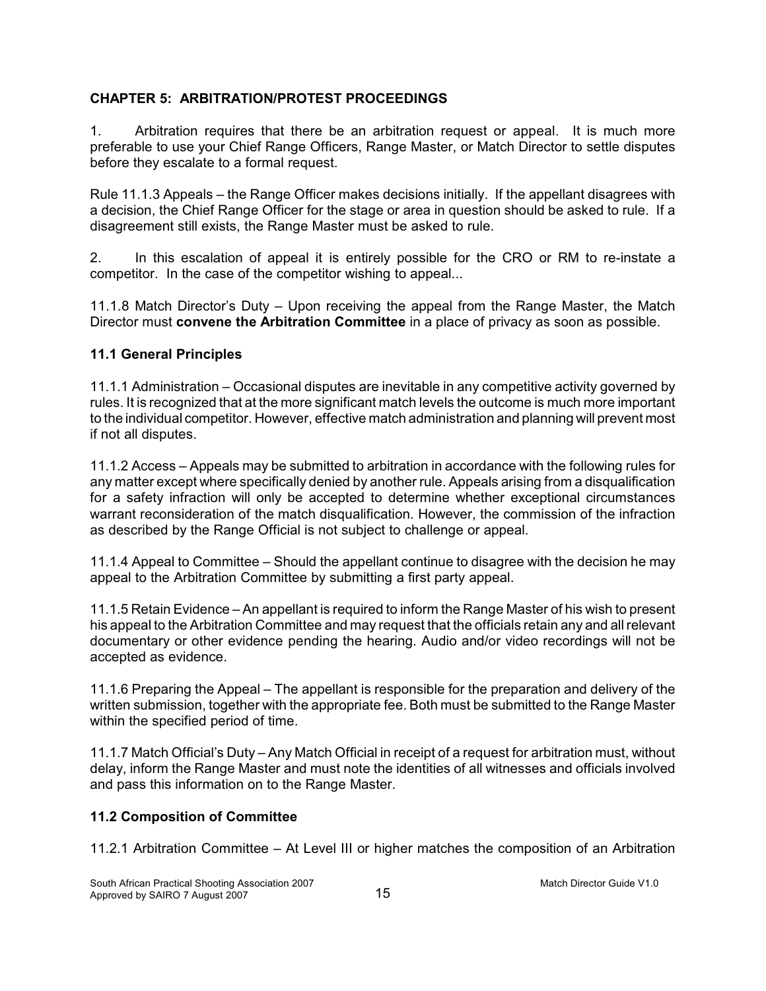# **CHAPTER 5: ARBITRATION/PROTEST PROCEEDINGS**

1. Arbitration requires that there be an arbitration request or appeal. It is much more preferable to use your Chief Range Officers, Range Master, or Match Director to settle disputes before they escalate to a formal request.

Rule 11.1.3 Appeals – the Range Officer makes decisions initially. If the appellant disagrees with a decision, the Chief Range Officer for the stage or area in question should be asked to rule. If a disagreement still exists, the Range Master must be asked to rule.

2. In this escalation of appeal it is entirely possible for the CRO or RM to re-instate a competitor. In the case of the competitor wishing to appeal...

11.1.8 Match Director's Duty – Upon receiving the appeal from the Range Master, the Match Director must **convene the Arbitration Committee** in a place of privacy as soon as possible.

# **11.1 General Principles**

11.1.1 Administration – Occasional disputes are inevitable in any competitive activity governed by rules. It is recognized that at the more significant match levels the outcome is much more important to the individual competitor. However, effective match administration and planning will prevent most if not all disputes.

11.1.2 Access – Appeals may be submitted to arbitration in accordance with the following rules for any matter except where specifically denied by another rule. Appeals arising from a disqualification for a safety infraction will only be accepted to determine whether exceptional circumstances warrant reconsideration of the match disqualification. However, the commission of the infraction as described by the Range Official is not subject to challenge or appeal.

11.1.4 Appeal to Committee – Should the appellant continue to disagree with the decision he may appeal to the Arbitration Committee by submitting a first party appeal.

11.1.5 Retain Evidence – An appellant is required to inform the Range Master of his wish to present his appeal to the Arbitration Committee and may request that the officials retain any and all relevant documentary or other evidence pending the hearing. Audio and/or video recordings will not be accepted as evidence.

11.1.6 Preparing the Appeal – The appellant is responsible for the preparation and delivery of the written submission, together with the appropriate fee. Both must be submitted to the Range Master within the specified period of time.

11.1.7 Match Official's Duty – Any Match Official in receipt of a request for arbitration must, without delay, inform the Range Master and must note the identities of all witnesses and officials involved and pass this information on to the Range Master.

# **11.2 Composition of Committee**

11.2.1 Arbitration Committee – At Level III or higher matches the composition of an Arbitration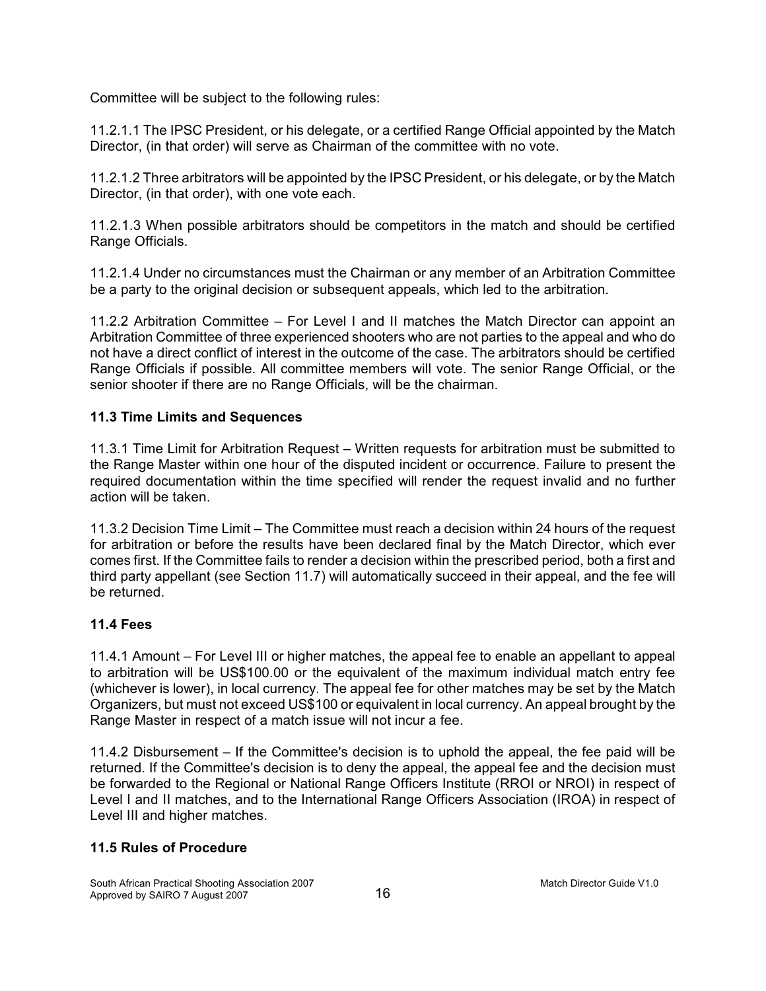Committee will be subject to the following rules:

11.2.1.1 The IPSC President, or his delegate, or a certified Range Official appointed by the Match Director, (in that order) will serve as Chairman of the committee with no vote.

11.2.1.2 Three arbitrators will be appointed by the IPSC President, or his delegate, or by the Match Director, (in that order), with one vote each.

11.2.1.3 When possible arbitrators should be competitors in the match and should be certified Range Officials.

11.2.1.4 Under no circumstances must the Chairman or any member of an Arbitration Committee be a party to the original decision or subsequent appeals, which led to the arbitration.

11.2.2 Arbitration Committee – For Level I and II matches the Match Director can appoint an Arbitration Committee of three experienced shooters who are not parties to the appeal and who do not have a direct conflict of interest in the outcome of the case. The arbitrators should be certified Range Officials if possible. All committee members will vote. The senior Range Official, or the senior shooter if there are no Range Officials, will be the chairman.

# **11.3 Time Limits and Sequences**

11.3.1 Time Limit for Arbitration Request – Written requests for arbitration must be submitted to the Range Master within one hour of the disputed incident or occurrence. Failure to present the required documentation within the time specified will render the request invalid and no further action will be taken.

11.3.2 Decision Time Limit – The Committee must reach a decision within 24 hours of the request for arbitration or before the results have been declared final by the Match Director, which ever comes first. If the Committee fails to render a decision within the prescribed period, both a first and third party appellant (see Section 11.7) will automatically succeed in their appeal, and the fee will be returned.

# **11.4 Fees**

11.4.1 Amount – For Level III or higher matches, the appeal fee to enable an appellant to appeal to arbitration will be US\$100.00 or the equivalent of the maximum individual match entry fee (whichever is lower), in local currency. The appeal fee for other matches may be set by the Match Organizers, but must not exceed US\$100 or equivalent in local currency. An appeal brought by the Range Master in respect of a match issue will not incur a fee.

11.4.2 Disbursement – If the Committee's decision is to uphold the appeal, the fee paid will be returned. If the Committee's decision is to deny the appeal, the appeal fee and the decision must be forwarded to the Regional or National Range Officers Institute (RROI or NROI) in respect of Level I and II matches, and to the International Range Officers Association (IROA) in respect of Level III and higher matches.

### **11.5 Rules of Procedure**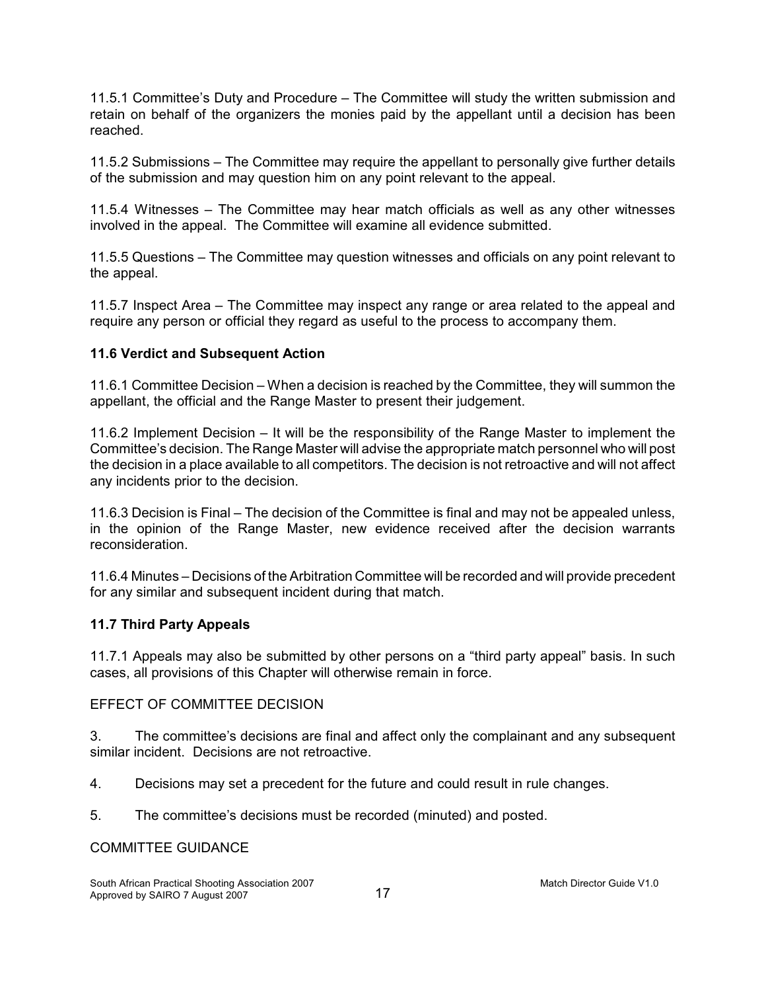11.5.1 Committee's Duty and Procedure – The Committee will study the written submission and retain on behalf of the organizers the monies paid by the appellant until a decision has been reached.

11.5.2 Submissions – The Committee may require the appellant to personally give further details of the submission and may question him on any point relevant to the appeal.

11.5.4 Witnesses – The Committee may hear match officials as well as any other witnesses involved in the appeal. The Committee will examine all evidence submitted.

11.5.5 Questions – The Committee may question witnesses and officials on any point relevant to the appeal.

11.5.7 Inspect Area – The Committee may inspect any range or area related to the appeal and require any person or official they regard as useful to the process to accompany them.

# **11.6 Verdict and Subsequent Action**

11.6.1 Committee Decision – When a decision is reached by the Committee, they will summon the appellant, the official and the Range Master to present their judgement.

11.6.2 Implement Decision – It will be the responsibility of the Range Master to implement the Committee's decision. The Range Master will advise the appropriate match personnel who will post the decision in a place available to all competitors. The decision is not retroactive and will not affect any incidents prior to the decision.

11.6.3 Decision is Final – The decision of the Committee is final and may not be appealed unless, in the opinion of the Range Master, new evidence received after the decision warrants reconsideration.

11.6.4 Minutes – Decisions of the Arbitration Committee will be recorded and will provide precedent for any similar and subsequent incident during that match.

### **11.7 Third Party Appeals**

11.7.1 Appeals may also be submitted by other persons on a "third party appeal" basis. In such cases, all provisions of this Chapter will otherwise remain in force.

### EFFECT OF COMMITTEE DECISION

3. The committee's decisions are final and affect only the complainant and any subsequent similar incident. Decisions are not retroactive.

4. Decisions may set a precedent for the future and could result in rule changes.

5. The committee's decisions must be recorded (minuted) and posted.

# COMMITTEE GUIDANCE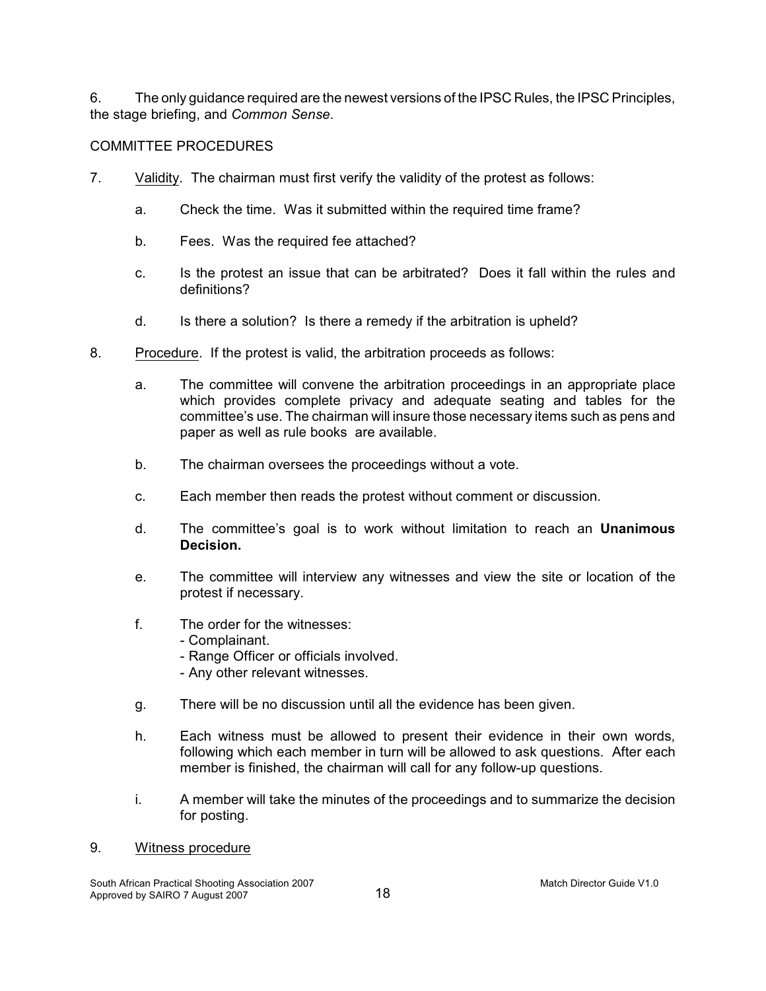6. The only guidance required are the newest versions of the IPSC Rules, the IPSC Principles, the stage briefing, and *Common Sense*.

# COMMITTEE PROCEDURES

- 7. Validity. The chairman must first verify the validity of the protest as follows:
	- a. Check the time. Was it submitted within the required time frame?
	- b. Fees. Was the required fee attached?
	- c. Is the protest an issue that can be arbitrated? Does it fall within the rules and definitions?
	- d. Is there a solution? Is there a remedy if the arbitration is upheld?
- 8. Procedure. If the protest is valid, the arbitration proceeds as follows:
	- a. The committee will convene the arbitration proceedings in an appropriate place which provides complete privacy and adequate seating and tables for the committee's use. The chairman will insure those necessary items such as pens and paper as well as rule books are available.
	- b. The chairman oversees the proceedings without a vote.
	- c. Each member then reads the protest without comment or discussion.
	- d. The committee's goal is to work without limitation to reach an **Unanimous Decision.**
	- e. The committee will interview any witnesses and view the site or location of the protest if necessary.
	- f. The order for the witnesses:
		- Complainant.
		- Range Officer or officials involved.
		- Any other relevant witnesses.
	- g. There will be no discussion until all the evidence has been given.
	- h. Each witness must be allowed to present their evidence in their own words, following which each member in turn will be allowed to ask questions. After each member is finished, the chairman will call for any follow-up questions.
	- i. A member will take the minutes of the proceedings and to summarize the decision for posting.

### 9. Witness procedure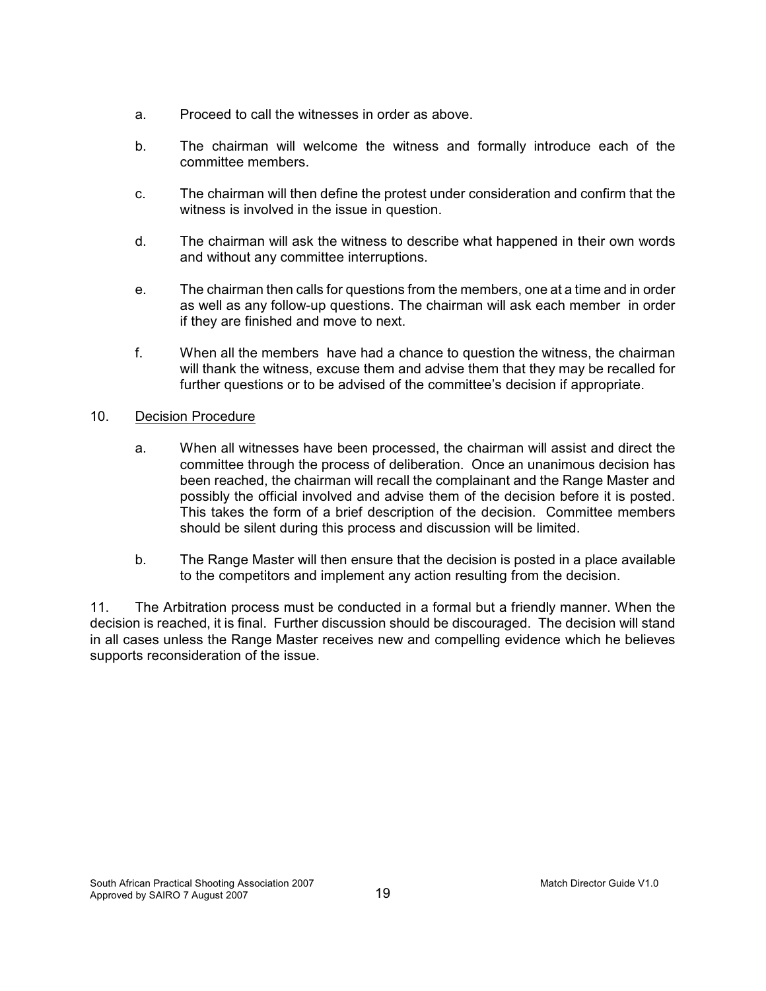- a. Proceed to call the witnesses in order as above.
- b. The chairman will welcome the witness and formally introduce each of the committee members.
- c. The chairman will then define the protest under consideration and confirm that the witness is involved in the issue in question.
- d. The chairman will ask the witness to describe what happened in their own words and without any committee interruptions.
- e. The chairman then calls for questions from the members, one at a time and in order as well as any follow-up questions. The chairman will ask each member in order if they are finished and move to next.
- f. When all the members have had a chance to question the witness, the chairman will thank the witness, excuse them and advise them that they may be recalled for further questions or to be advised of the committee's decision if appropriate.

# 10. Decision Procedure

- a. When all witnesses have been processed, the chairman will assist and direct the committee through the process of deliberation. Once an unanimous decision has been reached, the chairman will recall the complainant and the Range Master and possibly the official involved and advise them of the decision before it is posted. This takes the form of a brief description of the decision. Committee members should be silent during this process and discussion will be limited.
- b. The Range Master will then ensure that the decision is posted in a place available to the competitors and implement any action resulting from the decision.

11. The Arbitration process must be conducted in a formal but a friendly manner. When the decision is reached, it is final. Further discussion should be discouraged. The decision will stand in all cases unless the Range Master receives new and compelling evidence which he believes supports reconsideration of the issue.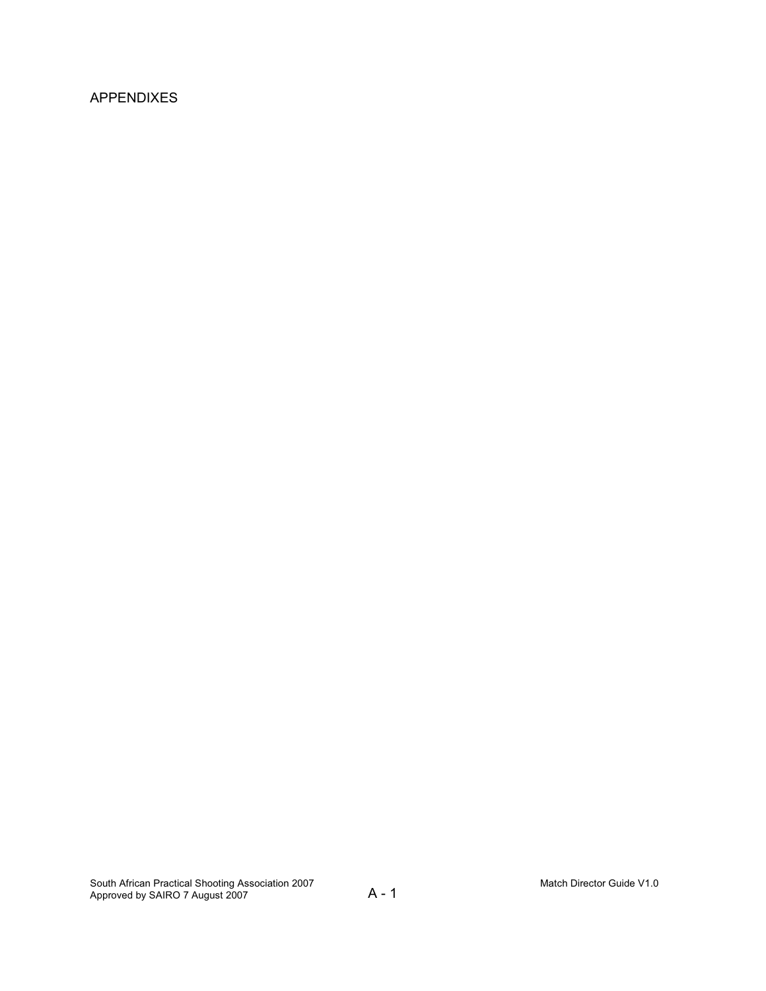# APPENDIXES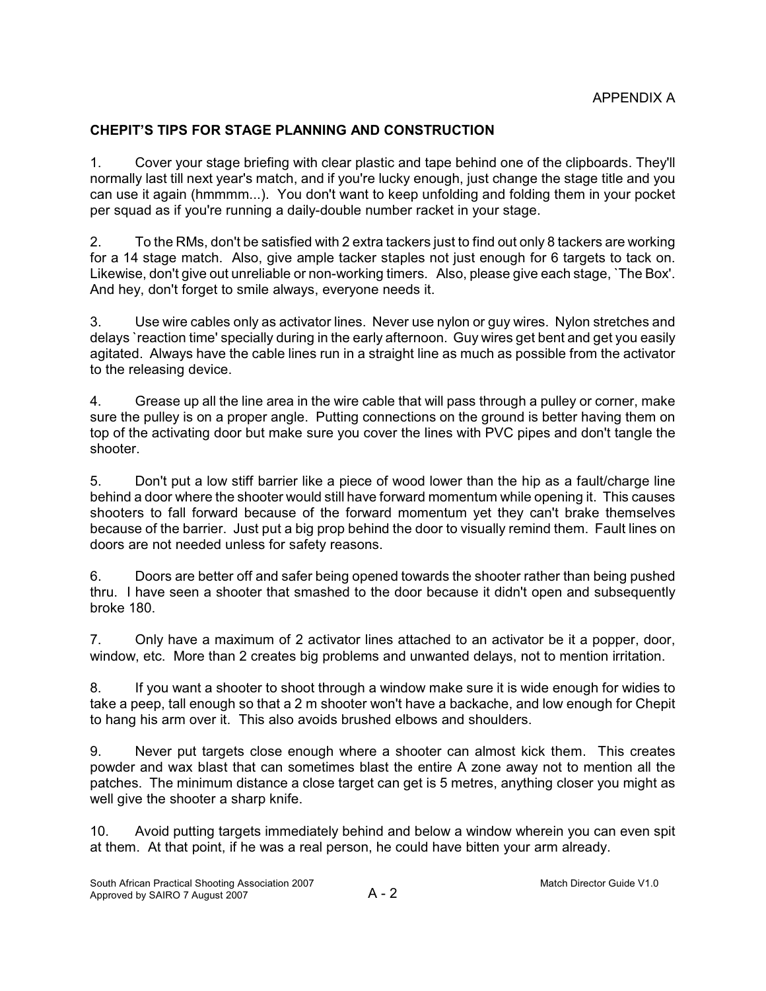# **CHEPIT'S TIPS FOR STAGE PLANNING AND CONSTRUCTION**

1. Cover your stage briefing with clear plastic and tape behind one of the clipboards. They'll normally last till next year's match, and if you're lucky enough, just change the stage title and you can use it again (hmmmm...). You don't want to keep unfolding and folding them in your pocket per squad as if you're running a daily-double number racket in your stage.

2. To the RMs, don't be satisfied with 2 extra tackers just to find out only 8 tackers are working for a 14 stage match. Also, give ample tacker staples not just enough for 6 targets to tack on. Likewise, don't give out unreliable or non-working timers. Also, please give each stage, `The Box'. And hey, don't forget to smile always, everyone needs it.

3. Use wire cables only as activator lines. Never use nylon or guy wires. Nylon stretches and delays `reaction time' specially during in the early afternoon. Guy wires get bent and get you easily agitated. Always have the cable lines run in a straight line as much as possible from the activator to the releasing device.

4. Grease up all the line area in the wire cable that will pass through a pulley or corner, make sure the pulley is on a proper angle. Putting connections on the ground is better having them on top of the activating door but make sure you cover the lines with PVC pipes and don't tangle the shooter.

5. Don't put a low stiff barrier like a piece of wood lower than the hip as a fault/charge line behind a door where the shooter would still have forward momentum while opening it. This causes shooters to fall forward because of the forward momentum yet they can't brake themselves because of the barrier. Just put a big prop behind the door to visually remind them. Fault lines on doors are not needed unless for safety reasons.

6. Doors are better off and safer being opened towards the shooter rather than being pushed thru. I have seen a shooter that smashed to the door because it didn't open and subsequently broke 180.

7. Only have a maximum of 2 activator lines attached to an activator be it a popper, door, window, etc. More than 2 creates big problems and unwanted delays, not to mention irritation.

8. If you want a shooter to shoot through a window make sure it is wide enough for widies to take a peep, tall enough so that a 2 m shooter won't have a backache, and low enough for Chepit to hang his arm over it. This also avoids brushed elbows and shoulders.

9. Never put targets close enough where a shooter can almost kick them. This creates powder and wax blast that can sometimes blast the entire A zone away not to mention all the patches. The minimum distance a close target can get is 5 metres, anything closer you might as well give the shooter a sharp knife.

10. Avoid putting targets immediately behind and below a window wherein you can even spit at them. At that point, if he was a real person, he could have bitten your arm already.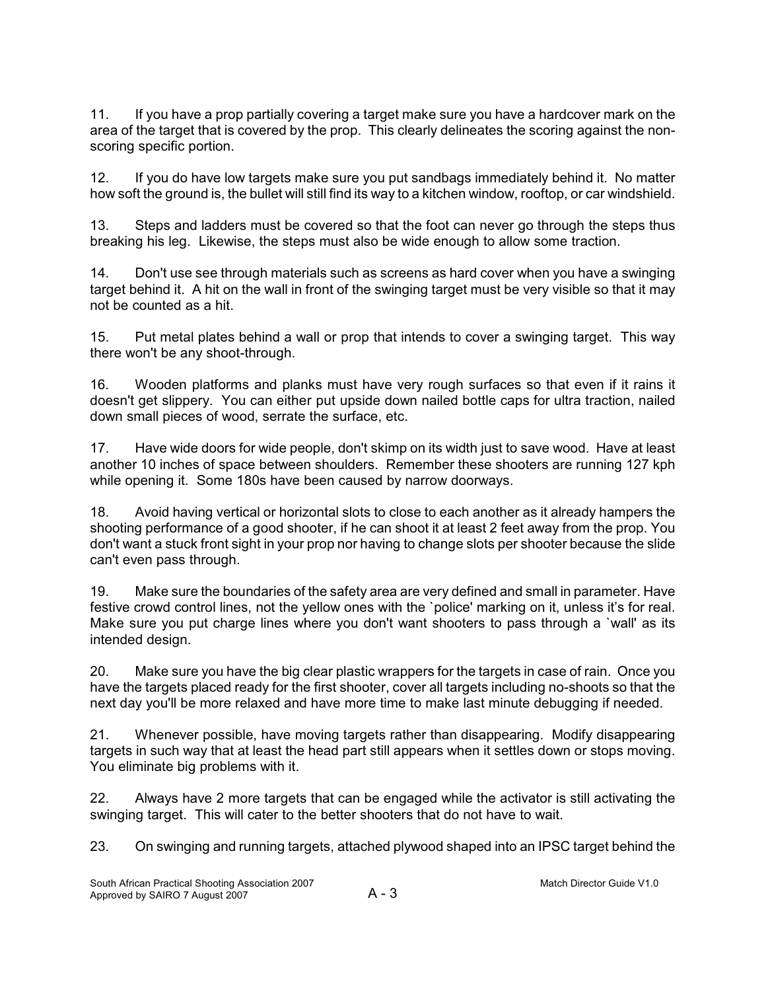11. If you have a prop partially covering a target make sure you have a hardcover mark on the area of the target that is covered by the prop. This clearly delineates the scoring against the nonscoring specific portion.

12. If you do have low targets make sure you put sandbags immediately behind it. No matter how soft the ground is, the bullet will still find its way to a kitchen window, rooftop, or car windshield.

13. Steps and ladders must be covered so that the foot can never go through the steps thus breaking his leg. Likewise, the steps must also be wide enough to allow some traction.

14. Don't use see through materials such as screens as hard cover when you have a swinging target behind it. A hit on the wall in front of the swinging target must be very visible so that it may not be counted as a hit.

15. Put metal plates behind a wall or prop that intends to cover a swinging target. This way there won't be any shoot-through.

16. Wooden platforms and planks must have very rough surfaces so that even if it rains it doesn't get slippery. You can either put upside down nailed bottle caps for ultra traction, nailed down small pieces of wood, serrate the surface, etc.

17. Have wide doors for wide people, don't skimp on its width just to save wood. Have at least another 10 inches of space between shoulders. Remember these shooters are running 127 kph while opening it. Some 180s have been caused by narrow doorways.

18. Avoid having vertical or horizontal slots to close to each another as it already hampers the shooting performance of a good shooter, if he can shoot it at least 2 feet away from the prop. You don't want a stuck front sight in your prop nor having to change slots per shooter because the slide can't even pass through.

19. Make sure the boundaries of the safety area are very defined and small in parameter. Have festive crowd control lines, not the yellow ones with the `police' marking on it, unless it's for real. Make sure you put charge lines where you don't want shooters to pass through a `wall' as its intended design.

20. Make sure you have the big clear plastic wrappers for the targets in case of rain. Once you have the targets placed ready for the first shooter, cover all targets including no-shoots so that the next day you'll be more relaxed and have more time to make last minute debugging if needed.

21. Whenever possible, have moving targets rather than disappearing. Modify disappearing targets in such way that at least the head part still appears when it settles down or stops moving. You eliminate big problems with it.

22. Always have 2 more targets that can be engaged while the activator is still activating the swinging target. This will cater to the better shooters that do not have to wait.

23. On swinging and running targets, attached plywood shaped into an IPSC target behind the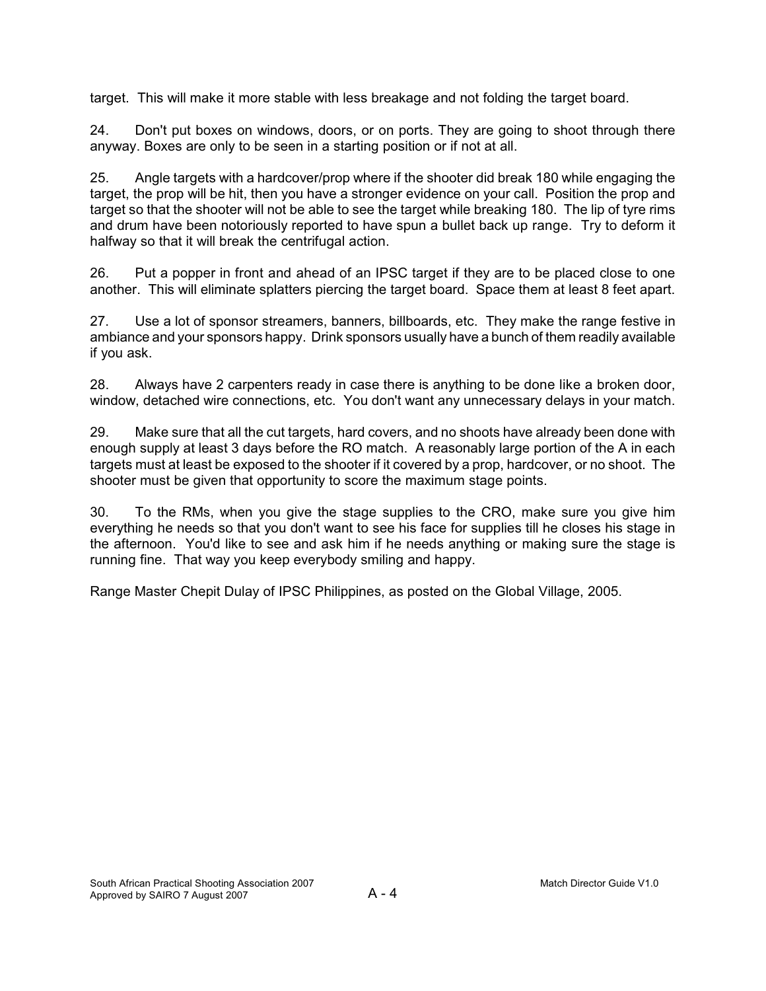target. This will make it more stable with less breakage and not folding the target board.

24. Don't put boxes on windows, doors, or on ports. They are going to shoot through there anyway. Boxes are only to be seen in a starting position or if not at all.

25. Angle targets with a hardcover/prop where if the shooter did break 180 while engaging the target, the prop will be hit, then you have a stronger evidence on your call. Position the prop and target so that the shooter will not be able to see the target while breaking 180. The lip of tyre rims and drum have been notoriously reported to have spun a bullet back up range. Try to deform it halfway so that it will break the centrifugal action.

26. Put a popper in front and ahead of an IPSC target if they are to be placed close to one another. This will eliminate splatters piercing the target board. Space them at least 8 feet apart.

27. Use a lot of sponsor streamers, banners, billboards, etc. They make the range festive in ambiance and your sponsors happy. Drink sponsors usually have a bunch of them readily available if you ask.

28. Always have 2 carpenters ready in case there is anything to be done like a broken door, window, detached wire connections, etc. You don't want any unnecessary delays in your match.

29. Make sure that all the cut targets, hard covers, and no shoots have already been done with enough supply at least 3 days before the RO match. A reasonably large portion of the A in each targets must at least be exposed to the shooter if it covered by a prop, hardcover, or no shoot. The shooter must be given that opportunity to score the maximum stage points.

30. To the RMs, when you give the stage supplies to the CRO, make sure you give him everything he needs so that you don't want to see his face for supplies till he closes his stage in the afternoon. You'd like to see and ask him if he needs anything or making sure the stage is running fine. That way you keep everybody smiling and happy.

Range Master Chepit Dulay of IPSC Philippines, as posted on the Global Village, 2005.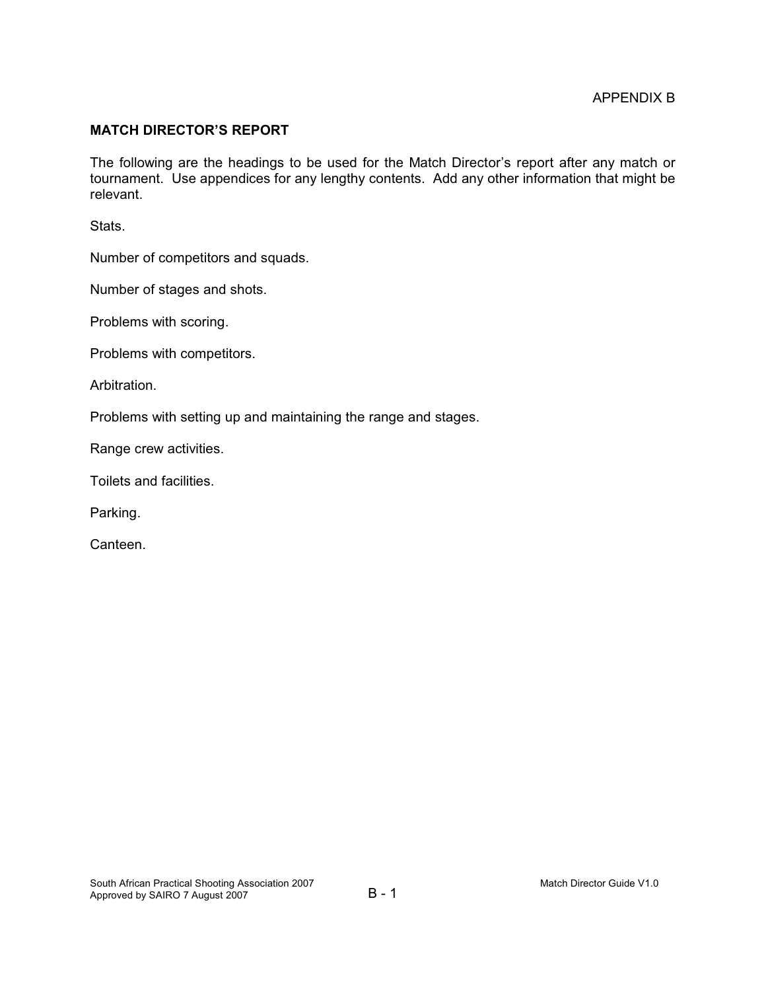### **MATCH DIRECTOR'S REPORT**

The following are the headings to be used for the Match Director's report after any match or tournament. Use appendices for any lengthy contents. Add any other information that might be relevant.

Stats.

Number of competitors and squads.

Number of stages and shots.

Problems with scoring.

Problems with competitors.

Arbitration.

Problems with setting up and maintaining the range and stages.

Range crew activities.

Toilets and facilities.

Parking.

Canteen.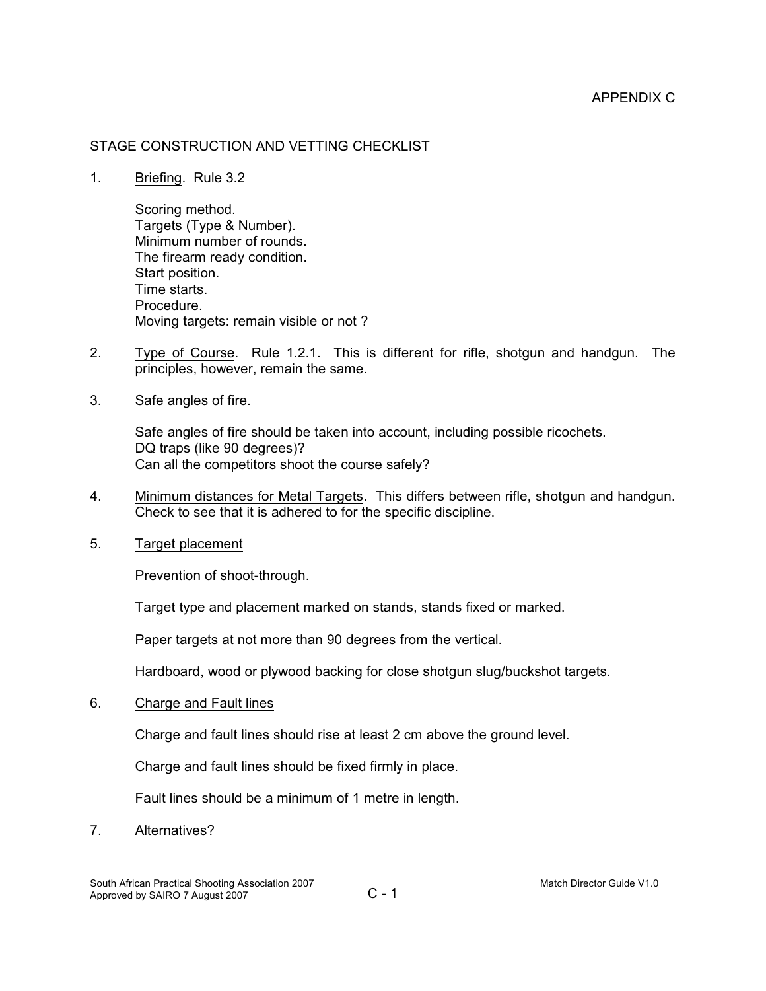### APPENDIX C

### STAGE CONSTRUCTION AND VETTING CHECKLIST

1. Briefing. Rule 3.2

Scoring method. Targets (Type & Number). Minimum number of rounds. The firearm ready condition. Start position. Time starts. Procedure. Moving targets: remain visible or not ?

- 2. Type of Course. Rule 1.2.1. This is different for rifle, shotgun and handgun. The principles, however, remain the same.
- 3. Safe angles of fire.

Safe angles of fire should be taken into account, including possible ricochets. DQ traps (like 90 degrees)? Can all the competitors shoot the course safely?

- 4. Minimum distances for Metal Targets. This differs between rifle, shotgun and handgun. Check to see that it is adhered to for the specific discipline.
- 5. Target placement

Prevention of shoot-through.

Target type and placement marked on stands, stands fixed or marked.

Paper targets at not more than 90 degrees from the vertical.

Hardboard, wood or plywood backing for close shotgun slug/buckshot targets.

6. Charge and Fault lines

Charge and fault lines should rise at least 2 cm above the ground level.

Charge and fault lines should be fixed firmly in place.

Fault lines should be a minimum of 1 metre in length.

7. Alternatives?